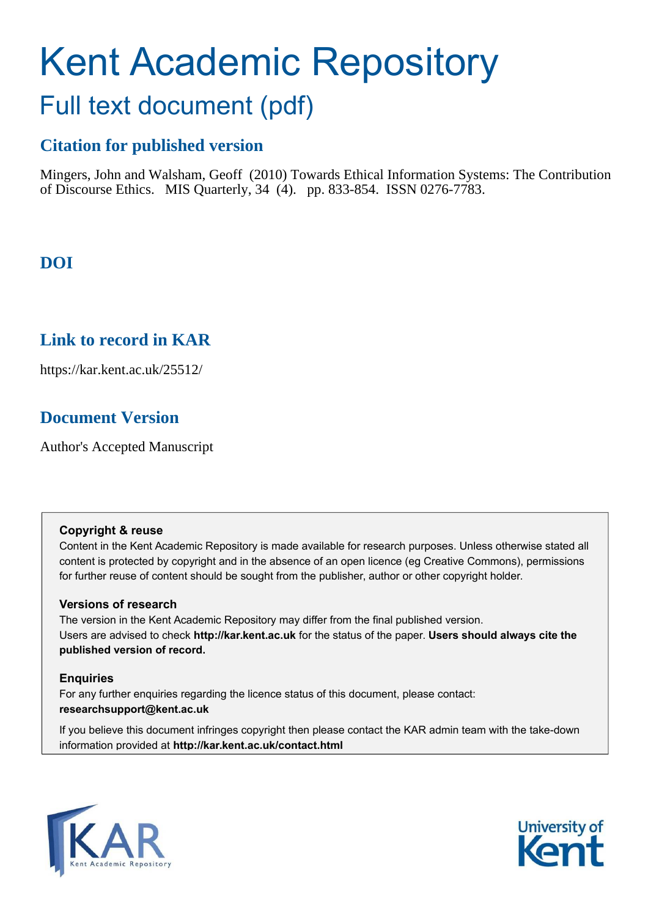# Kent Academic Repository

# Full text document (pdf)

## **Citation for published version**

Mingers, John and Walsham, Geoff (2010) Towards Ethical Information Systems: The Contribution of Discourse Ethics. MIS Quarterly, 34 (4). pp. 833-854. ISSN 0276-7783.

## **DOI**

## **Link to record in KAR**

https://kar.kent.ac.uk/25512/

## **Document Version**

Author's Accepted Manuscript

#### **Copyright & reuse**

Content in the Kent Academic Repository is made available for research purposes. Unless otherwise stated all content is protected by copyright and in the absence of an open licence (eg Creative Commons), permissions for further reuse of content should be sought from the publisher, author or other copyright holder.

#### **Versions of research**

The version in the Kent Academic Repository may differ from the final published version. Users are advised to check **http://kar.kent.ac.uk** for the status of the paper. **Users should always cite the published version of record.**

#### **Enquiries**

For any further enquiries regarding the licence status of this document, please contact: **researchsupport@kent.ac.uk**

If you believe this document infringes copyright then please contact the KAR admin team with the take-down information provided at **http://kar.kent.ac.uk/contact.html**



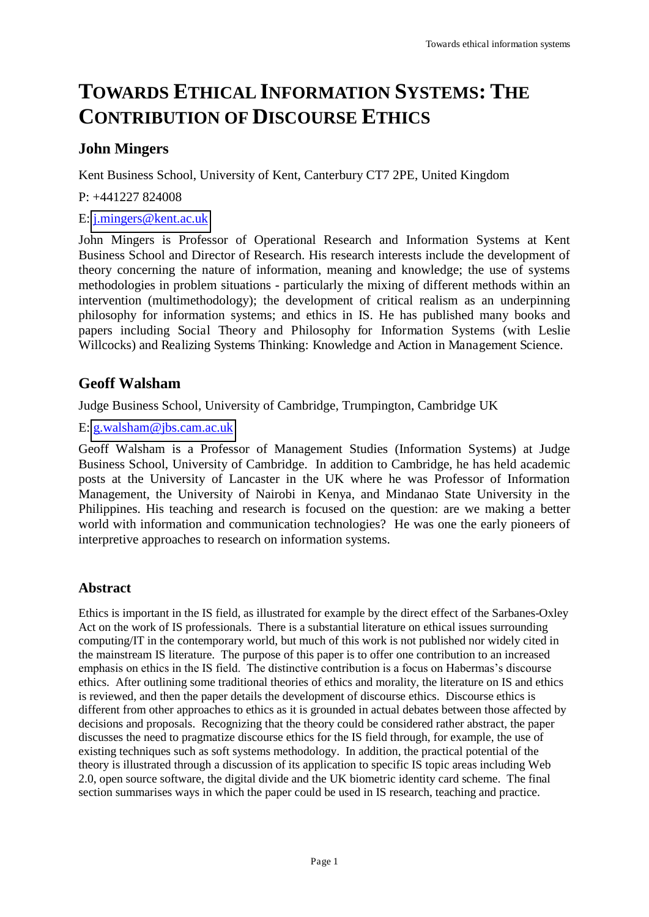## **TOWARDS ETHICAL INFORMATION SYSTEMS: THE CONTRIBUTION OF DISCOURSE ETHICS**

## **John Mingers**

Kent Business School, University of Kent, Canterbury CT7 2PE, United Kingdom

P: +441227 824008

#### E: [j.mingers@kent.ac.uk](mailto:j.mingers@kent.ac.uk)

John Mingers is Professor of Operational Research and Information Systems at Kent Business School and Director of Research. His research interests include the development of theory concerning the nature of information, meaning and knowledge; the use of systems methodologies in problem situations - particularly the mixing of different methods within an intervention (multimethodology); the development of critical realism as an underpinning philosophy for information systems; and ethics in IS. He has published many books and papers including Social Theory and Philosophy for Information Systems (with Leslie Willcocks) and Realizing Systems Thinking: Knowledge and Action in Management Science.

### **Geoff Walsham**

Judge Business School, University of Cambridge, Trumpington, Cambridge UK

E: [g.walsham@jbs.cam.ac.uk](mailto:g.walsham@jbs.cam.ac.uk)

Geoff Walsham is a Professor of Management Studies (Information Systems) at Judge Business School, University of Cambridge. In addition to Cambridge, he has held academic posts at the University of Lancaster in the UK where he was Professor of Information Management, the University of Nairobi in Kenya, and Mindanao State University in the Philippines. His teaching and research is focused on the question: are we making a better world with information and communication technologies? He was one the early pioneers of interpretive approaches to research on information systems.

#### **Abstract**

Ethics is important in the IS field, as illustrated for example by the direct effect of the Sarbanes-Oxley Act on the work of IS professionals. There is a substantial literature on ethical issues surrounding computing/IT in the contemporary world, but much of this work is not published nor widely cited in the mainstream IS literature. The purpose of this paper is to offer one contribution to an increased emphasis on ethics in the IS field. The distinctive contribution is a focus on Habermas's discourse ethics. After outlining some traditional theories of ethics and morality, the literature on IS and ethics is reviewed, and then the paper details the development of discourse ethics. Discourse ethics is different from other approaches to ethics as it is grounded in actual debates between those affected by decisions and proposals. Recognizing that the theory could be considered rather abstract, the paper discusses the need to pragmatize discourse ethics for the IS field through, for example, the use of existing techniques such as soft systems methodology. In addition, the practical potential of the theory is illustrated through a discussion of its application to specific IS topic areas including Web 2.0, open source software, the digital divide and the UK biometric identity card scheme. The final section summarises ways in which the paper could be used in IS research, teaching and practice.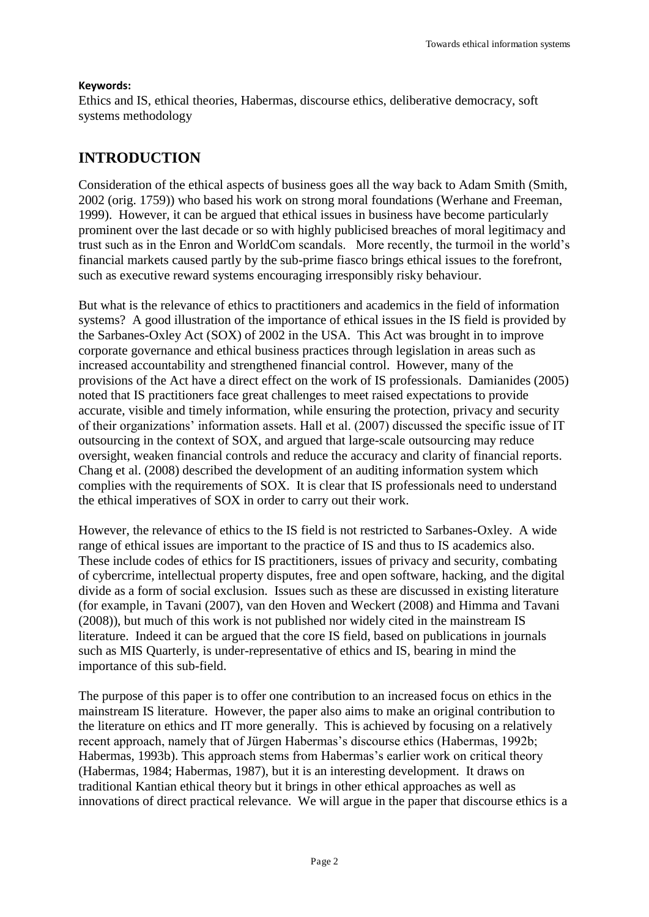#### **Keywords:**

Ethics and IS, ethical theories, Habermas, discourse ethics, deliberative democracy, soft systems methodology

## **INTRODUCTION**

Consideration of the ethical aspects of business goes all the way back to Adam Smith (Smith, 2002 (orig. 1759)) who based his work on strong moral foundations (Werhane and Freeman, 1999). However, it can be argued that ethical issues in business have become particularly prominent over the last decade or so with highly publicised breaches of moral legitimacy and trust such as in the Enron and WorldCom scandals. More recently, the turmoil in the world's financial markets caused partly by the sub-prime fiasco brings ethical issues to the forefront, such as executive reward systems encouraging irresponsibly risky behaviour.

But what is the relevance of ethics to practitioners and academics in the field of information systems? A good illustration of the importance of ethical issues in the IS field is provided by the Sarbanes-Oxley Act (SOX) of 2002 in the USA. This Act was brought in to improve corporate governance and ethical business practices through legislation in areas such as increased accountability and strengthened financial control. However, many of the provisions of the Act have a direct effect on the work of IS professionals. Damianides (2005) noted that IS practitioners face great challenges to meet raised expectations to provide accurate, visible and timely information, while ensuring the protection, privacy and security of their organizations' information assets. Hall et al. (2007) discussed the specific issue of IT outsourcing in the context of SOX, and argued that large-scale outsourcing may reduce oversight, weaken financial controls and reduce the accuracy and clarity of financial reports. Chang et al. (2008) described the development of an auditing information system which complies with the requirements of SOX. It is clear that IS professionals need to understand the ethical imperatives of SOX in order to carry out their work.

However, the relevance of ethics to the IS field is not restricted to Sarbanes-Oxley. A wide range of ethical issues are important to the practice of IS and thus to IS academics also. These include codes of ethics for IS practitioners, issues of privacy and security, combating of cybercrime, intellectual property disputes, free and open software, hacking, and the digital divide as a form of social exclusion. Issues such as these are discussed in existing literature (for example, in Tavani (2007), van den Hoven and Weckert (2008) and Himma and Tavani (2008)), but much of this work is not published nor widely cited in the mainstream IS literature. Indeed it can be argued that the core IS field, based on publications in journals such as MIS Quarterly, is under-representative of ethics and IS, bearing in mind the importance of this sub-field.

The purpose of this paper is to offer one contribution to an increased focus on ethics in the mainstream IS literature. However, the paper also aims to make an original contribution to the literature on ethics and IT more generally. This is achieved by focusing on a relatively recent approach, namely that of Jürgen Habermas's discourse ethics (Habermas, 1992b; Habermas, 1993b). This approach stems from Habermas's earlier work on critical theory (Habermas, 1984; Habermas, 1987), but it is an interesting development. It draws on traditional Kantian ethical theory but it brings in other ethical approaches as well as innovations of direct practical relevance. We will argue in the paper that discourse ethics is a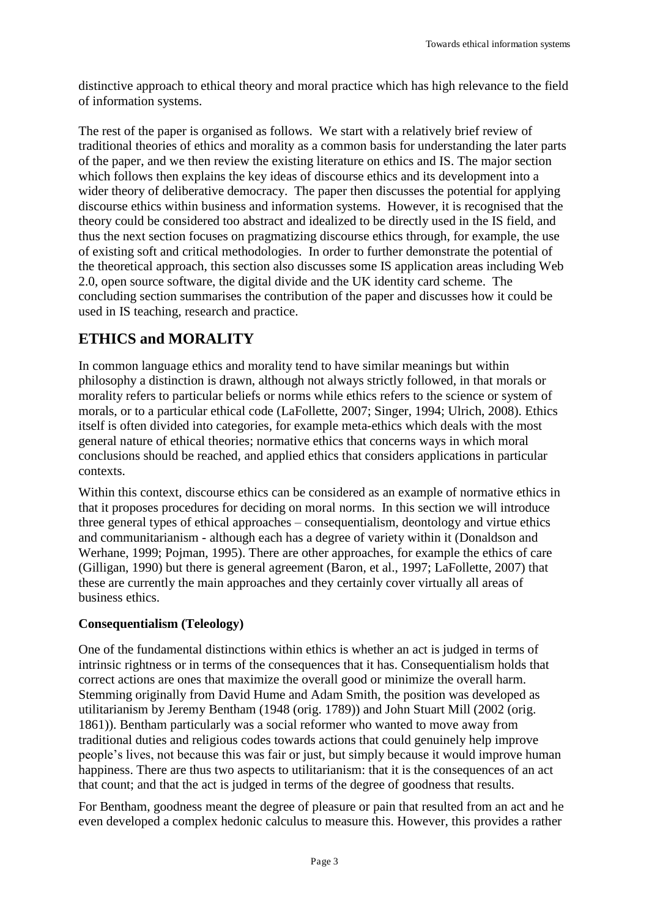distinctive approach to ethical theory and moral practice which has high relevance to the field of information systems.

The rest of the paper is organised as follows. We start with a relatively brief review of traditional theories of ethics and morality as a common basis for understanding the later parts of the paper, and we then review the existing literature on ethics and IS. The major section which follows then explains the key ideas of discourse ethics and its development into a wider theory of deliberative democracy. The paper then discusses the potential for applying discourse ethics within business and information systems. However, it is recognised that the theory could be considered too abstract and idealized to be directly used in the IS field, and thus the next section focuses on pragmatizing discourse ethics through, for example, the use of existing soft and critical methodologies. In order to further demonstrate the potential of the theoretical approach, this section also discusses some IS application areas including Web 2.0, open source software, the digital divide and the UK identity card scheme. The concluding section summarises the contribution of the paper and discusses how it could be used in IS teaching, research and practice.

## **ETHICS and MORALITY**

In common language ethics and morality tend to have similar meanings but within philosophy a distinction is drawn, although not always strictly followed, in that morals or morality refers to particular beliefs or norms while ethics refers to the science or system of morals, or to a particular ethical code (LaFollette, 2007; Singer, 1994; Ulrich, 2008). Ethics itself is often divided into categories, for example meta-ethics which deals with the most general nature of ethical theories; normative ethics that concerns ways in which moral conclusions should be reached, and applied ethics that considers applications in particular contexts.

Within this context, discourse ethics can be considered as an example of normative ethics in that it proposes procedures for deciding on moral norms. In this section we will introduce three general types of ethical approaches – consequentialism, deontology and virtue ethics and communitarianism - although each has a degree of variety within it (Donaldson and Werhane, 1999; Pojman, 1995). There are other approaches, for example the ethics of care (Gilligan, 1990) but there is general agreement (Baron, et al., 1997; LaFollette, 2007) that these are currently the main approaches and they certainly cover virtually all areas of business ethics.

#### **Consequentialism (Teleology)**

One of the fundamental distinctions within ethics is whether an act is judged in terms of intrinsic rightness or in terms of the consequences that it has. Consequentialism holds that correct actions are ones that maximize the overall good or minimize the overall harm. Stemming originally from David Hume and Adam Smith, the position was developed as utilitarianism by Jeremy Bentham (1948 (orig. 1789)) and John Stuart Mill (2002 (orig. 1861)). Bentham particularly was a social reformer who wanted to move away from traditional duties and religious codes towards actions that could genuinely help improve people's lives, not because this was fair or just, but simply because it would improve human happiness. There are thus two aspects to utilitarianism: that it is the consequences of an act that count; and that the act is judged in terms of the degree of goodness that results.

For Bentham, goodness meant the degree of pleasure or pain that resulted from an act and he even developed a complex hedonic calculus to measure this. However, this provides a rather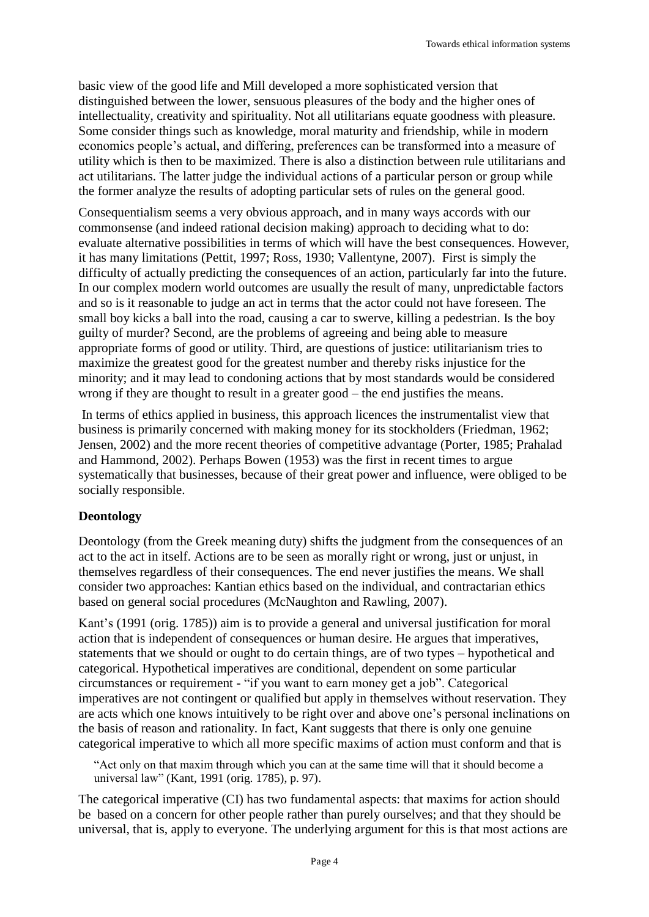basic view of the good life and Mill developed a more sophisticated version that distinguished between the lower, sensuous pleasures of the body and the higher ones of intellectuality, creativity and spirituality. Not all utilitarians equate goodness with pleasure. Some consider things such as knowledge, moral maturity and friendship, while in modern economics people's actual, and differing, preferences can be transformed into a measure of utility which is then to be maximized. There is also a distinction between rule utilitarians and act utilitarians. The latter judge the individual actions of a particular person or group while the former analyze the results of adopting particular sets of rules on the general good.

Consequentialism seems a very obvious approach, and in many ways accords with our commonsense (and indeed rational decision making) approach to deciding what to do: evaluate alternative possibilities in terms of which will have the best consequences. However, it has many limitations (Pettit, 1997; Ross, 1930; Vallentyne, 2007). First is simply the difficulty of actually predicting the consequences of an action, particularly far into the future. In our complex modern world outcomes are usually the result of many, unpredictable factors and so is it reasonable to judge an act in terms that the actor could not have foreseen. The small boy kicks a ball into the road, causing a car to swerve, killing a pedestrian. Is the boy guilty of murder? Second, are the problems of agreeing and being able to measure appropriate forms of good or utility. Third, are questions of justice: utilitarianism tries to maximize the greatest good for the greatest number and thereby risks injustice for the minority; and it may lead to condoning actions that by most standards would be considered wrong if they are thought to result in a greater good – the end justifies the means.

 In terms of ethics applied in business, this approach licences the instrumentalist view that business is primarily concerned with making money for its stockholders (Friedman, 1962; Jensen, 2002) and the more recent theories of competitive advantage (Porter, 1985; Prahalad and Hammond, 2002). Perhaps Bowen (1953) was the first in recent times to argue systematically that businesses, because of their great power and influence, were obliged to be socially responsible.

#### **Deontology**

Deontology (from the Greek meaning duty) shifts the judgment from the consequences of an act to the act in itself. Actions are to be seen as morally right or wrong, just or unjust, in themselves regardless of their consequences. The end never justifies the means. We shall consider two approaches: Kantian ethics based on the individual, and contractarian ethics based on general social procedures (McNaughton and Rawling, 2007).

Kant's (1991 (orig. 1785)) aim is to provide a general and universal justification for moral action that is independent of consequences or human desire. He argues that imperatives, statements that we should or ought to do certain things, are of two types – hypothetical and categorical. Hypothetical imperatives are conditional, dependent on some particular circumstances or requirement - "if you want to earn money get a job". Categorical imperatives are not contingent or qualified but apply in themselves without reservation. They are acts which one knows intuitively to be right over and above one's personal inclinations on the basis of reason and rationality. In fact, Kant suggests that there is only one genuine categorical imperative to which all more specific maxims of action must conform and that is

"Act only on that maxim through which you can at the same time will that it should become a universal law" (Kant, 1991 (orig. 1785), p. 97).

The categorical imperative (CI) has two fundamental aspects: that maxims for action should be based on a concern for other people rather than purely ourselves; and that they should be universal, that is, apply to everyone. The underlying argument for this is that most actions are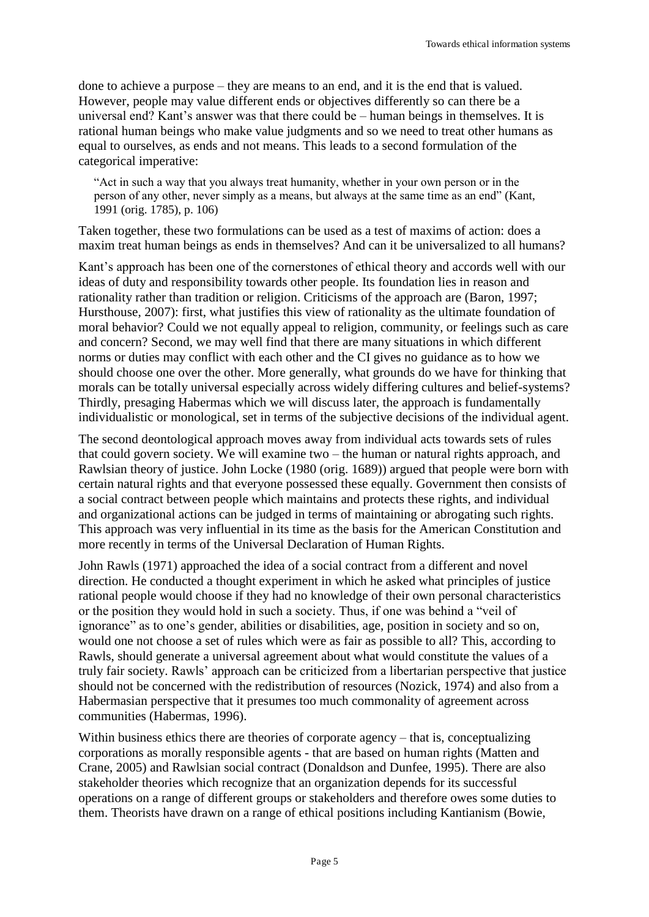done to achieve a purpose – they are means to an end, and it is the end that is valued. However, people may value different ends or objectives differently so can there be a universal end? Kant's answer was that there could be – human beings in themselves. It is rational human beings who make value judgments and so we need to treat other humans as equal to ourselves, as ends and not means. This leads to a second formulation of the categorical imperative:

"Act in such a way that you always treat humanity, whether in your own person or in the person of any other, never simply as a means, but always at the same time as an end" (Kant, 1991 (orig. 1785), p. 106)

Taken together, these two formulations can be used as a test of maxims of action: does a maxim treat human beings as ends in themselves? And can it be universalized to all humans?

Kant's approach has been one of the cornerstones of ethical theory and accords well with our ideas of duty and responsibility towards other people. Its foundation lies in reason and rationality rather than tradition or religion. Criticisms of the approach are (Baron, 1997; Hursthouse, 2007): first, what justifies this view of rationality as the ultimate foundation of moral behavior? Could we not equally appeal to religion, community, or feelings such as care and concern? Second, we may well find that there are many situations in which different norms or duties may conflict with each other and the CI gives no guidance as to how we should choose one over the other. More generally, what grounds do we have for thinking that morals can be totally universal especially across widely differing cultures and belief-systems? Thirdly, presaging Habermas which we will discuss later, the approach is fundamentally individualistic or monological, set in terms of the subjective decisions of the individual agent.

The second deontological approach moves away from individual acts towards sets of rules that could govern society. We will examine two – the human or natural rights approach, and Rawlsian theory of justice. John Locke (1980 (orig. 1689)) argued that people were born with certain natural rights and that everyone possessed these equally. Government then consists of a social contract between people which maintains and protects these rights, and individual and organizational actions can be judged in terms of maintaining or abrogating such rights. This approach was very influential in its time as the basis for the American Constitution and more recently in terms of the Universal Declaration of Human Rights.

John Rawls (1971) approached the idea of a social contract from a different and novel direction. He conducted a thought experiment in which he asked what principles of justice rational people would choose if they had no knowledge of their own personal characteristics or the position they would hold in such a society. Thus, if one was behind a "veil of ignorance" as to one's gender, abilities or disabilities, age, position in society and so on, would one not choose a set of rules which were as fair as possible to all? This, according to Rawls, should generate a universal agreement about what would constitute the values of a truly fair society. Rawls' approach can be criticized from a libertarian perspective that justice should not be concerned with the redistribution of resources (Nozick, 1974) and also from a Habermasian perspective that it presumes too much commonality of agreement across communities (Habermas, 1996).

Within business ethics there are theories of corporate agency – that is, conceptualizing corporations as morally responsible agents - that are based on human rights (Matten and Crane, 2005) and Rawlsian social contract (Donaldson and Dunfee, 1995). There are also stakeholder theories which recognize that an organization depends for its successful operations on a range of different groups or stakeholders and therefore owes some duties to them. Theorists have drawn on a range of ethical positions including Kantianism (Bowie,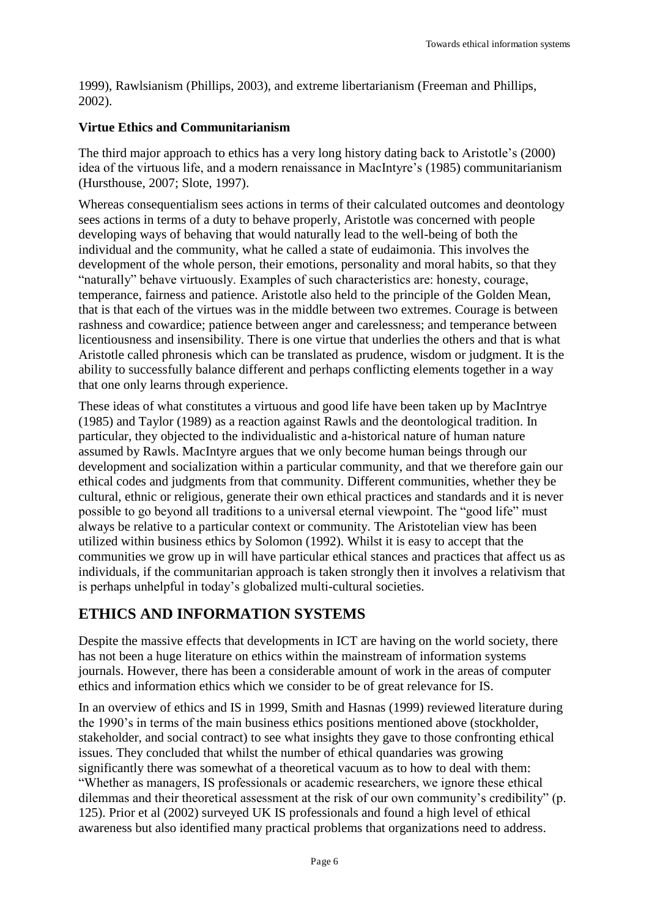1999), Rawlsianism (Phillips, 2003), and extreme libertarianism (Freeman and Phillips, 2002).

#### **Virtue Ethics and Communitarianism**

The third major approach to ethics has a very long history dating back to Aristotle's (2000) idea of the virtuous life, and a modern renaissance in MacIntyre's (1985) communitarianism (Hursthouse, 2007; Slote, 1997).

Whereas consequentialism sees actions in terms of their calculated outcomes and deontology sees actions in terms of a duty to behave properly, Aristotle was concerned with people developing ways of behaving that would naturally lead to the well-being of both the individual and the community, what he called a state of eudaimonia. This involves the development of the whole person, their emotions, personality and moral habits, so that they "naturally" behave virtuously. Examples of such characteristics are: honesty, courage, temperance, fairness and patience. Aristotle also held to the principle of the Golden Mean, that is that each of the virtues was in the middle between two extremes. Courage is between rashness and cowardice; patience between anger and carelessness; and temperance between licentiousness and insensibility. There is one virtue that underlies the others and that is what Aristotle called phronesis which can be translated as prudence, wisdom or judgment. It is the ability to successfully balance different and perhaps conflicting elements together in a way that one only learns through experience.

These ideas of what constitutes a virtuous and good life have been taken up by MacIntrye (1985) and Taylor (1989) as a reaction against Rawls and the deontological tradition. In particular, they objected to the individualistic and a-historical nature of human nature assumed by Rawls. MacIntyre argues that we only become human beings through our development and socialization within a particular community, and that we therefore gain our ethical codes and judgments from that community. Different communities, whether they be cultural, ethnic or religious, generate their own ethical practices and standards and it is never possible to go beyond all traditions to a universal eternal viewpoint. The "good life" must always be relative to a particular context or community. The Aristotelian view has been utilized within business ethics by Solomon (1992). Whilst it is easy to accept that the communities we grow up in will have particular ethical stances and practices that affect us as individuals, if the communitarian approach is taken strongly then it involves a relativism that is perhaps unhelpful in today's globalized multi-cultural societies.

## **ETHICS AND INFORMATION SYSTEMS**

Despite the massive effects that developments in ICT are having on the world society, there has not been a huge literature on ethics within the mainstream of information systems journals. However, there has been a considerable amount of work in the areas of computer ethics and information ethics which we consider to be of great relevance for IS.

In an overview of ethics and IS in 1999, Smith and Hasnas (1999) reviewed literature during the 1990's in terms of the main business ethics positions mentioned above (stockholder, stakeholder, and social contract) to see what insights they gave to those confronting ethical issues. They concluded that whilst the number of ethical quandaries was growing significantly there was somewhat of a theoretical vacuum as to how to deal with them: "Whether as managers, IS professionals or academic researchers, we ignore these ethical dilemmas and their theoretical assessment at the risk of our own community's credibility" (p. 125). Prior et al (2002) surveyed UK IS professionals and found a high level of ethical awareness but also identified many practical problems that organizations need to address.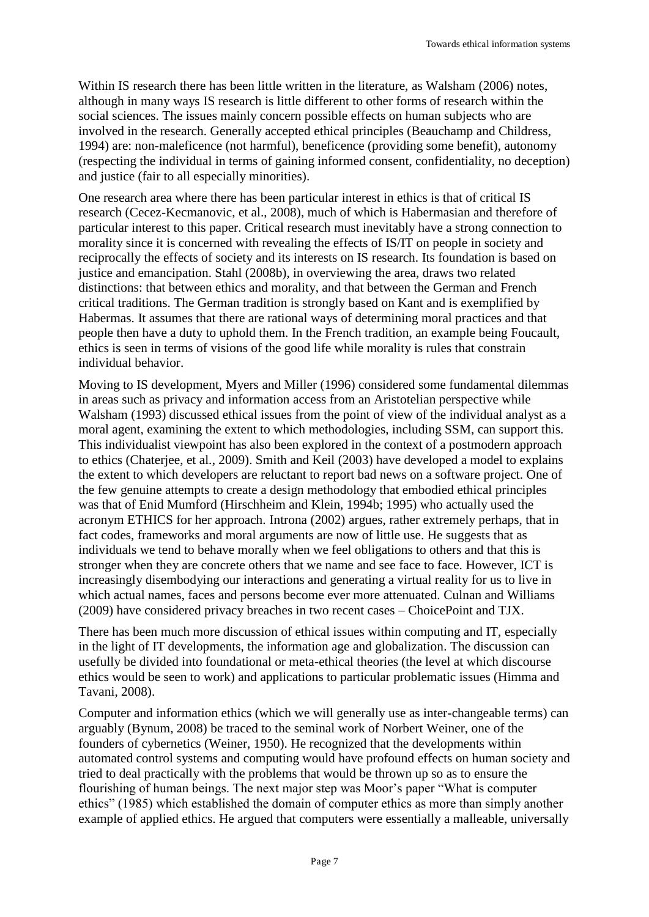Within IS research there has been little written in the literature, as Walsham (2006) notes, although in many ways IS research is little different to other forms of research within the social sciences. The issues mainly concern possible effects on human subjects who are involved in the research. Generally accepted ethical principles (Beauchamp and Childress, 1994) are: non-maleficence (not harmful), beneficence (providing some benefit), autonomy (respecting the individual in terms of gaining informed consent, confidentiality, no deception) and justice (fair to all especially minorities).

One research area where there has been particular interest in ethics is that of critical IS research (Cecez-Kecmanovic, et al., 2008), much of which is Habermasian and therefore of particular interest to this paper. Critical research must inevitably have a strong connection to morality since it is concerned with revealing the effects of IS/IT on people in society and reciprocally the effects of society and its interests on IS research. Its foundation is based on justice and emancipation. Stahl (2008b), in overviewing the area, draws two related distinctions: that between ethics and morality, and that between the German and French critical traditions. The German tradition is strongly based on Kant and is exemplified by Habermas. It assumes that there are rational ways of determining moral practices and that people then have a duty to uphold them. In the French tradition, an example being Foucault, ethics is seen in terms of visions of the good life while morality is rules that constrain individual behavior.

Moving to IS development, Myers and Miller (1996) considered some fundamental dilemmas in areas such as privacy and information access from an Aristotelian perspective while Walsham (1993) discussed ethical issues from the point of view of the individual analyst as a moral agent, examining the extent to which methodologies, including SSM, can support this. This individualist viewpoint has also been explored in the context of a postmodern approach to ethics (Chaterjee, et al., 2009). Smith and Keil (2003) have developed a model to explains the extent to which developers are reluctant to report bad news on a software project. One of the few genuine attempts to create a design methodology that embodied ethical principles was that of Enid Mumford (Hirschheim and Klein, 1994b; 1995) who actually used the acronym ETHICS for her approach. Introna (2002) argues, rather extremely perhaps, that in fact codes, frameworks and moral arguments are now of little use. He suggests that as individuals we tend to behave morally when we feel obligations to others and that this is stronger when they are concrete others that we name and see face to face. However, ICT is increasingly disembodying our interactions and generating a virtual reality for us to live in which actual names, faces and persons become ever more attenuated. Culnan and Williams (2009) have considered privacy breaches in two recent cases – ChoicePoint and TJX.

There has been much more discussion of ethical issues within computing and IT, especially in the light of IT developments, the information age and globalization. The discussion can usefully be divided into foundational or meta-ethical theories (the level at which discourse ethics would be seen to work) and applications to particular problematic issues (Himma and Tavani, 2008).

Computer and information ethics (which we will generally use as inter-changeable terms) can arguably (Bynum, 2008) be traced to the seminal work of Norbert Weiner, one of the founders of cybernetics (Weiner, 1950). He recognized that the developments within automated control systems and computing would have profound effects on human society and tried to deal practically with the problems that would be thrown up so as to ensure the flourishing of human beings. The next major step was Moor's paper "What is computer ethics" (1985) which established the domain of computer ethics as more than simply another example of applied ethics. He argued that computers were essentially a malleable, universally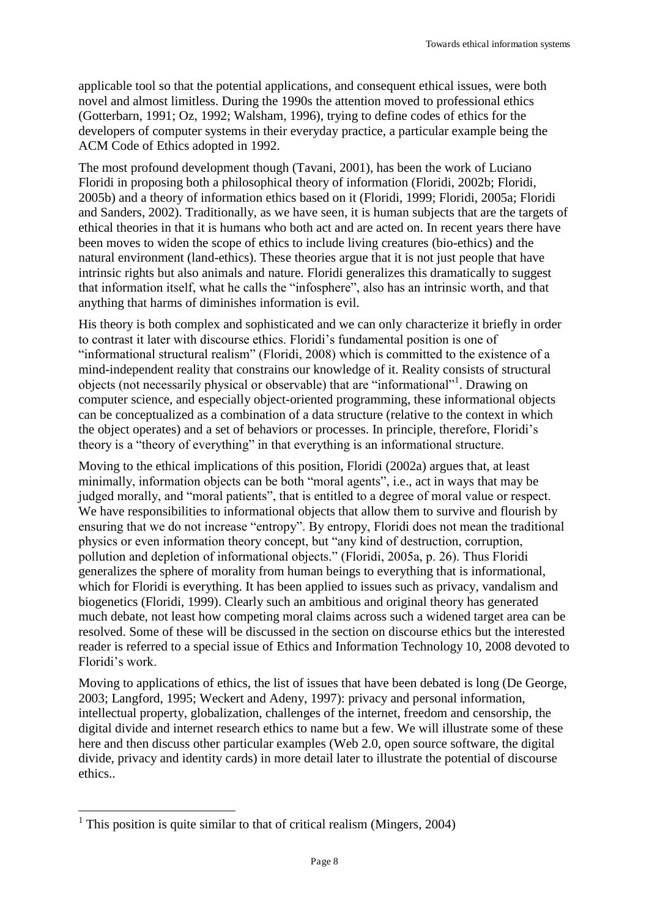applicable tool so that the potential applications, and consequent ethical issues, were both novel and almost limitless. During the 1990s the attention moved to professional ethics (Gotterbarn, 1991; Oz, 1992; Walsham, 1996), trying to define codes of ethics for the developers of computer systems in their everyday practice, a particular example being the ACM Code of Ethics adopted in 1992.

The most profound development though (Tavani, 2001), has been the work of Luciano Floridi in proposing both a philosophical theory of information (Floridi, 2002b; Floridi, 2005b) and a theory of information ethics based on it (Floridi, 1999; Floridi, 2005a; Floridi and Sanders, 2002). Traditionally, as we have seen, it is human subjects that are the targets of ethical theories in that it is humans who both act and are acted on. In recent years there have been moves to widen the scope of ethics to include living creatures (bio-ethics) and the natural environment (land-ethics). These theories argue that it is not just people that have intrinsic rights but also animals and nature. Floridi generalizes this dramatically to suggest that information itself, what he calls the "infosphere", also has an intrinsic worth, and that anything that harms of diminishes information is evil.

His theory is both complex and sophisticated and we can only characterize it briefly in order to contrast it later with discourse ethics. Floridi's fundamental position is one of "informational structural realism" (Floridi, 2008) which is committed to the existence of a mind-independent reality that constrains our knowledge of it. Reality consists of structural objects (not necessarily physical or observable) that are "informational"<sup>1</sup> . Drawing on computer science, and especially object-oriented programming, these informational objects can be conceptualized as a combination of a data structure (relative to the context in which the object operates) and a set of behaviors or processes. In principle, therefore, Floridi's theory is a "theory of everything" in that everything is an informational structure.

Moving to the ethical implications of this position, Floridi (2002a) argues that, at least minimally, information objects can be both "moral agents", i.e., act in ways that may be judged morally, and "moral patients", that is entitled to a degree of moral value or respect. We have responsibilities to informational objects that allow them to survive and flourish by ensuring that we do not increase "entropy". By entropy, Floridi does not mean the traditional physics or even information theory concept, but "any kind of destruction, corruption, pollution and depletion of informational objects." (Floridi, 2005a, p. 26). Thus Floridi generalizes the sphere of morality from human beings to everything that is informational, which for Floridi is everything. It has been applied to issues such as privacy, vandalism and biogenetics (Floridi, 1999). Clearly such an ambitious and original theory has generated much debate, not least how competing moral claims across such a widened target area can be resolved. Some of these will be discussed in the section on discourse ethics but the interested reader is referred to a special issue of Ethics and Information Technology 10, 2008 devoted to Floridi's work.

Moving to applications of ethics, the list of issues that have been debated is long (De George, 2003; Langford, 1995; Weckert and Adeny, 1997): privacy and personal information, intellectual property, globalization, challenges of the internet, freedom and censorship, the digital divide and internet research ethics to name but a few. We will illustrate some of these here and then discuss other particular examples (Web 2.0, open source software, the digital divide, privacy and identity cards) in more detail later to illustrate the potential of discourse ethics..

<sup>&</sup>lt;u>.</u> <sup>1</sup> This position is quite similar to that of critical realism (Mingers, 2004)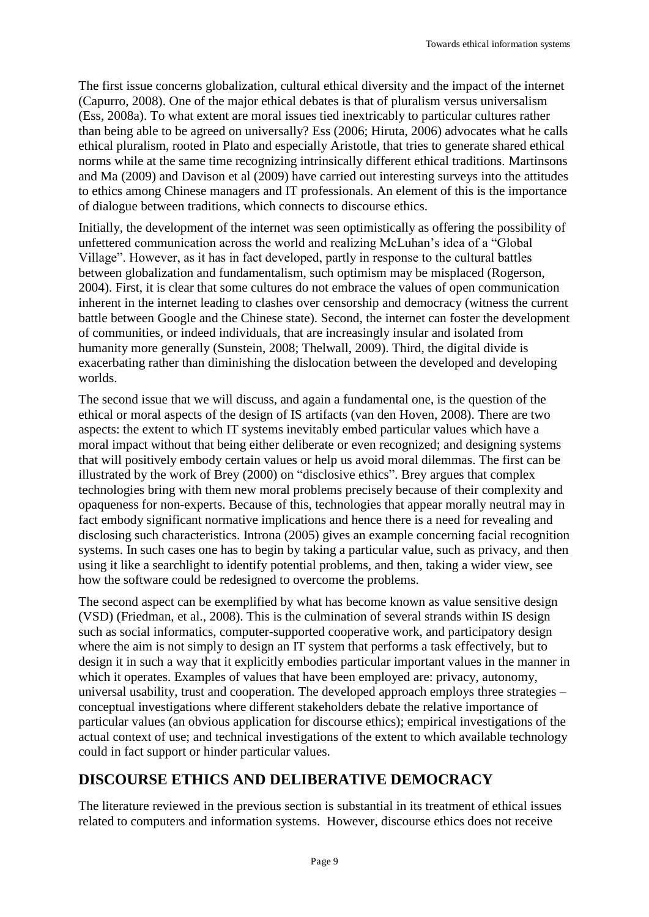The first issue concerns globalization, cultural ethical diversity and the impact of the internet (Capurro, 2008). One of the major ethical debates is that of pluralism versus universalism (Ess, 2008a). To what extent are moral issues tied inextricably to particular cultures rather than being able to be agreed on universally? Ess (2006; Hiruta, 2006) advocates what he calls ethical pluralism, rooted in Plato and especially Aristotle, that tries to generate shared ethical norms while at the same time recognizing intrinsically different ethical traditions. Martinsons and Ma (2009) and Davison et al (2009) have carried out interesting surveys into the attitudes to ethics among Chinese managers and IT professionals. An element of this is the importance of dialogue between traditions, which connects to discourse ethics.

Initially, the development of the internet was seen optimistically as offering the possibility of unfettered communication across the world and realizing McLuhan's idea of a "Global Village". However, as it has in fact developed, partly in response to the cultural battles between globalization and fundamentalism, such optimism may be misplaced (Rogerson, 2004). First, it is clear that some cultures do not embrace the values of open communication inherent in the internet leading to clashes over censorship and democracy (witness the current battle between Google and the Chinese state). Second, the internet can foster the development of communities, or indeed individuals, that are increasingly insular and isolated from humanity more generally (Sunstein, 2008; Thelwall, 2009). Third, the digital divide is exacerbating rather than diminishing the dislocation between the developed and developing worlds.

The second issue that we will discuss, and again a fundamental one, is the question of the ethical or moral aspects of the design of IS artifacts (van den Hoven, 2008). There are two aspects: the extent to which IT systems inevitably embed particular values which have a moral impact without that being either deliberate or even recognized; and designing systems that will positively embody certain values or help us avoid moral dilemmas. The first can be illustrated by the work of Brey (2000) on "disclosive ethics". Brey argues that complex technologies bring with them new moral problems precisely because of their complexity and opaqueness for non-experts. Because of this, technologies that appear morally neutral may in fact embody significant normative implications and hence there is a need for revealing and disclosing such characteristics. Introna (2005) gives an example concerning facial recognition systems. In such cases one has to begin by taking a particular value, such as privacy, and then using it like a searchlight to identify potential problems, and then, taking a wider view, see how the software could be redesigned to overcome the problems.

The second aspect can be exemplified by what has become known as value sensitive design (VSD) (Friedman, et al., 2008). This is the culmination of several strands within IS design such as social informatics, computer-supported cooperative work, and participatory design where the aim is not simply to design an IT system that performs a task effectively, but to design it in such a way that it explicitly embodies particular important values in the manner in which it operates. Examples of values that have been employed are: privacy, autonomy, universal usability, trust and cooperation. The developed approach employs three strategies – conceptual investigations where different stakeholders debate the relative importance of particular values (an obvious application for discourse ethics); empirical investigations of the actual context of use; and technical investigations of the extent to which available technology could in fact support or hinder particular values.

## **DISCOURSE ETHICS AND DELIBERATIVE DEMOCRACY**

The literature reviewed in the previous section is substantial in its treatment of ethical issues related to computers and information systems. However, discourse ethics does not receive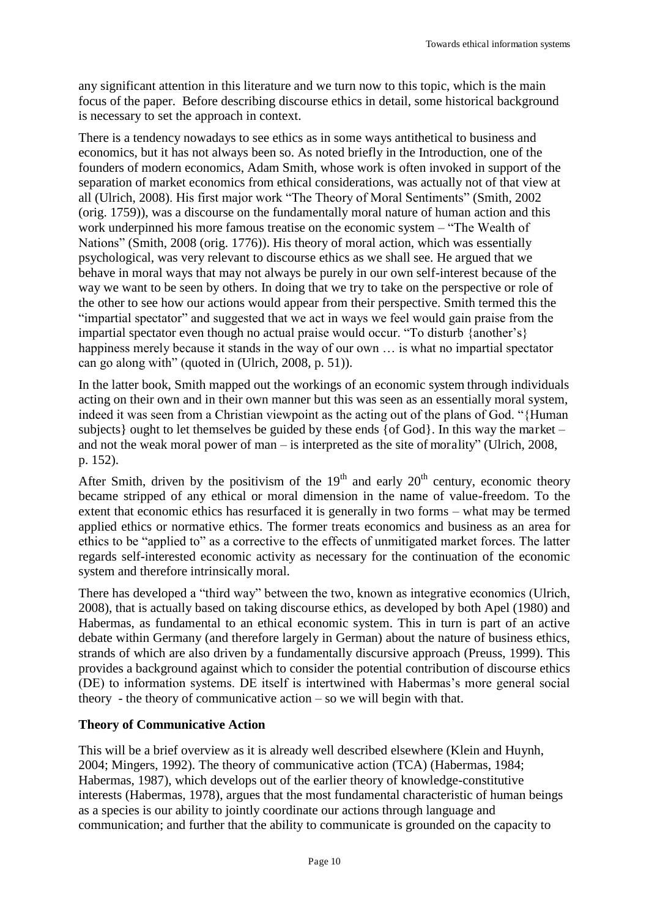any significant attention in this literature and we turn now to this topic, which is the main focus of the paper. Before describing discourse ethics in detail, some historical background is necessary to set the approach in context.

There is a tendency nowadays to see ethics as in some ways antithetical to business and economics, but it has not always been so. As noted briefly in the Introduction, one of the founders of modern economics, Adam Smith, whose work is often invoked in support of the separation of market economics from ethical considerations, was actually not of that view at all (Ulrich, 2008). His first major work "The Theory of Moral Sentiments" (Smith, 2002 (orig. 1759)), was a discourse on the fundamentally moral nature of human action and this work underpinned his more famous treatise on the economic system – "The Wealth of Nations" (Smith, 2008 (orig. 1776)). His theory of moral action, which was essentially psychological, was very relevant to discourse ethics as we shall see. He argued that we behave in moral ways that may not always be purely in our own self-interest because of the way we want to be seen by others. In doing that we try to take on the perspective or role of the other to see how our actions would appear from their perspective. Smith termed this the "impartial spectator" and suggested that we act in ways we feel would gain praise from the impartial spectator even though no actual praise would occur. "To disturb {another's} happiness merely because it stands in the way of our own ... is what no impartial spectator can go along with" (quoted in (Ulrich, 2008, p. 51)).

In the latter book, Smith mapped out the workings of an economic system through individuals acting on their own and in their own manner but this was seen as an essentially moral system, indeed it was seen from a Christian viewpoint as the acting out of the plans of God. "{Human subjects} ought to let themselves be guided by these ends {of God}. In this way the market – and not the weak moral power of man – is interpreted as the site of morality" (Ulrich, 2008, p. 152).

After Smith, driven by the positivism of the  $19<sup>th</sup>$  and early  $20<sup>th</sup>$  century, economic theory became stripped of any ethical or moral dimension in the name of value-freedom. To the extent that economic ethics has resurfaced it is generally in two forms – what may be termed applied ethics or normative ethics. The former treats economics and business as an area for ethics to be "applied to" as a corrective to the effects of unmitigated market forces. The latter regards self-interested economic activity as necessary for the continuation of the economic system and therefore intrinsically moral.

There has developed a "third way" between the two, known as integrative economics (Ulrich, 2008), that is actually based on taking discourse ethics, as developed by both Apel (1980) and Habermas, as fundamental to an ethical economic system. This in turn is part of an active debate within Germany (and therefore largely in German) about the nature of business ethics, strands of which are also driven by a fundamentally discursive approach (Preuss, 1999). This provides a background against which to consider the potential contribution of discourse ethics (DE) to information systems. DE itself is intertwined with Habermas's more general social theory - the theory of communicative action – so we will begin with that.

#### **Theory of Communicative Action**

This will be a brief overview as it is already well described elsewhere (Klein and Huynh, 2004; Mingers, 1992). The theory of communicative action (TCA) (Habermas, 1984; Habermas, 1987), which develops out of the earlier theory of knowledge-constitutive interests (Habermas, 1978), argues that the most fundamental characteristic of human beings as a species is our ability to jointly coordinate our actions through language and communication; and further that the ability to communicate is grounded on the capacity to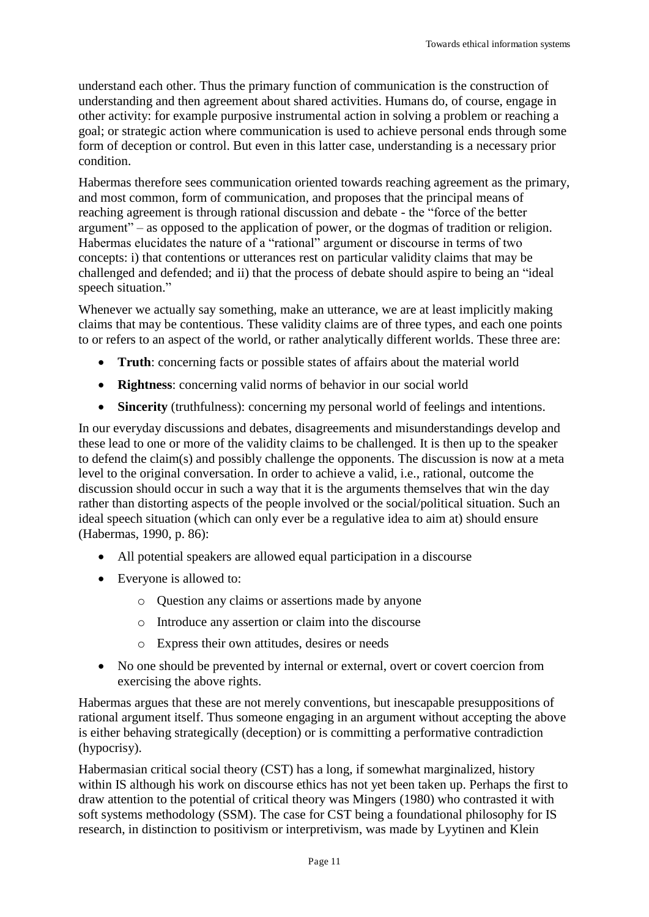understand each other. Thus the primary function of communication is the construction of understanding and then agreement about shared activities. Humans do, of course, engage in other activity: for example purposive instrumental action in solving a problem or reaching a goal; or strategic action where communication is used to achieve personal ends through some form of deception or control. But even in this latter case, understanding is a necessary prior condition.

Habermas therefore sees communication oriented towards reaching agreement as the primary, and most common, form of communication, and proposes that the principal means of reaching agreement is through rational discussion and debate - the "force of the better argument" – as opposed to the application of power, or the dogmas of tradition or religion. Habermas elucidates the nature of a "rational" argument or discourse in terms of two concepts: i) that contentions or utterances rest on particular validity claims that may be challenged and defended; and ii) that the process of debate should aspire to being an "ideal speech situation."

Whenever we actually say something, make an utterance, we are at least implicitly making claims that may be contentious. These validity claims are of three types, and each one points to or refers to an aspect of the world, or rather analytically different worlds. These three are:

- **Truth**: concerning facts or possible states of affairs about the material world
- **Rightness**: concerning valid norms of behavior in our social world
- **Sincerity** (truthfulness): concerning my personal world of feelings and intentions.

In our everyday discussions and debates, disagreements and misunderstandings develop and these lead to one or more of the validity claims to be challenged. It is then up to the speaker to defend the claim(s) and possibly challenge the opponents. The discussion is now at a meta level to the original conversation. In order to achieve a valid, i.e., rational, outcome the discussion should occur in such a way that it is the arguments themselves that win the day rather than distorting aspects of the people involved or the social/political situation. Such an ideal speech situation (which can only ever be a regulative idea to aim at) should ensure (Habermas, 1990, p. 86):

- All potential speakers are allowed equal participation in a discourse
- Everyone is allowed to:
	- o Question any claims or assertions made by anyone
	- o Introduce any assertion or claim into the discourse
	- o Express their own attitudes, desires or needs
- No one should be prevented by internal or external, overt or covert coercion from exercising the above rights.

Habermas argues that these are not merely conventions, but inescapable presuppositions of rational argument itself. Thus someone engaging in an argument without accepting the above is either behaving strategically (deception) or is committing a performative contradiction (hypocrisy).

Habermasian critical social theory (CST) has a long, if somewhat marginalized, history within IS although his work on discourse ethics has not yet been taken up. Perhaps the first to draw attention to the potential of critical theory was Mingers (1980) who contrasted it with soft systems methodology (SSM). The case for CST being a foundational philosophy for IS research, in distinction to positivism or interpretivism, was made by Lyytinen and Klein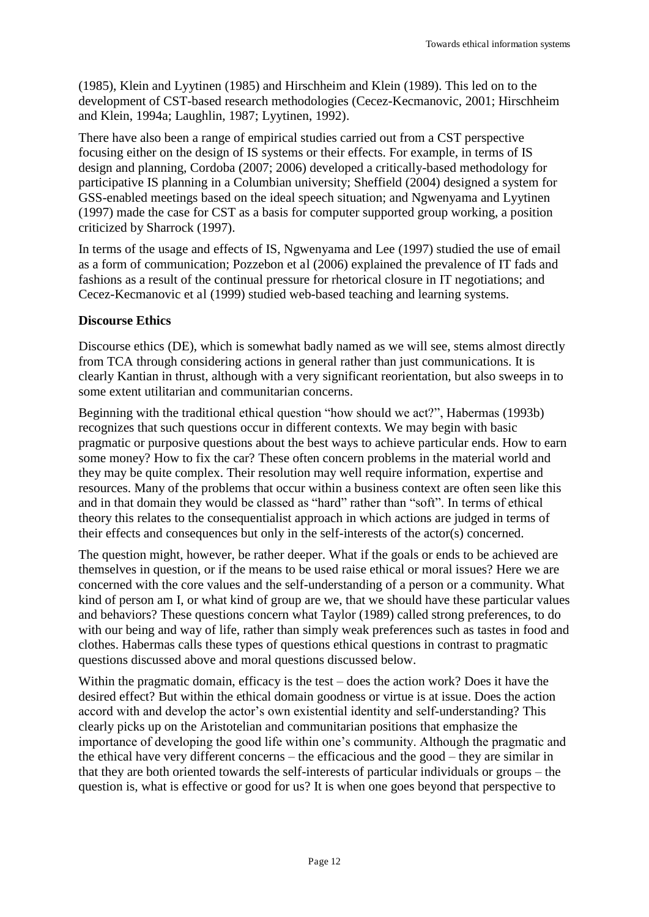(1985), Klein and Lyytinen (1985) and Hirschheim and Klein (1989). This led on to the development of CST-based research methodologies (Cecez-Kecmanovic, 2001; Hirschheim and Klein, 1994a; Laughlin, 1987; Lyytinen, 1992).

There have also been a range of empirical studies carried out from a CST perspective focusing either on the design of IS systems or their effects. For example, in terms of IS design and planning, Cordoba (2007; 2006) developed a critically-based methodology for participative IS planning in a Columbian university; Sheffield (2004) designed a system for GSS-enabled meetings based on the ideal speech situation; and Ngwenyama and Lyytinen (1997) made the case for CST as a basis for computer supported group working, a position criticized by Sharrock (1997).

In terms of the usage and effects of IS, Ngwenyama and Lee (1997) studied the use of email as a form of communication; Pozzebon et al (2006) explained the prevalence of IT fads and fashions as a result of the continual pressure for rhetorical closure in IT negotiations; and Cecez-Kecmanovic et al (1999) studied web-based teaching and learning systems.

#### **Discourse Ethics**

Discourse ethics (DE), which is somewhat badly named as we will see, stems almost directly from TCA through considering actions in general rather than just communications. It is clearly Kantian in thrust, although with a very significant reorientation, but also sweeps in to some extent utilitarian and communitarian concerns.

Beginning with the traditional ethical question "how should we act?", Habermas (1993b) recognizes that such questions occur in different contexts. We may begin with basic pragmatic or purposive questions about the best ways to achieve particular ends. How to earn some money? How to fix the car? These often concern problems in the material world and they may be quite complex. Their resolution may well require information, expertise and resources. Many of the problems that occur within a business context are often seen like this and in that domain they would be classed as "hard" rather than "soft". In terms of ethical theory this relates to the consequentialist approach in which actions are judged in terms of their effects and consequences but only in the self-interests of the actor(s) concerned.

The question might, however, be rather deeper. What if the goals or ends to be achieved are themselves in question, or if the means to be used raise ethical or moral issues? Here we are concerned with the core values and the self-understanding of a person or a community. What kind of person am I, or what kind of group are we, that we should have these particular values and behaviors? These questions concern what Taylor (1989) called strong preferences, to do with our being and way of life, rather than simply weak preferences such as tastes in food and clothes. Habermas calls these types of questions ethical questions in contrast to pragmatic questions discussed above and moral questions discussed below.

Within the pragmatic domain, efficacy is the test – does the action work? Does it have the desired effect? But within the ethical domain goodness or virtue is at issue. Does the action accord with and develop the actor's own existential identity and self-understanding? This clearly picks up on the Aristotelian and communitarian positions that emphasize the importance of developing the good life within one's community. Although the pragmatic and the ethical have very different concerns – the efficacious and the good – they are similar in that they are both oriented towards the self-interests of particular individuals or groups – the question is, what is effective or good for us? It is when one goes beyond that perspective to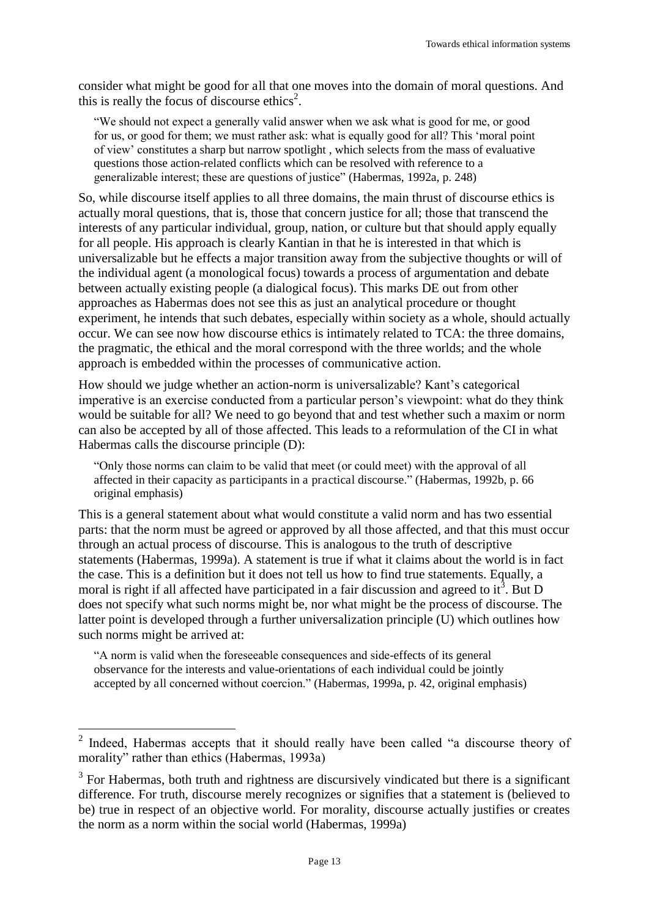consider what might be good for all that one moves into the domain of moral questions. And this is really the focus of discourse ethics<sup>2</sup>.

"We should not expect a generally valid answer when we ask what is good for me, or good for us, or good for them; we must rather ask: what is equally good for all? This 'moral point of view' constitutes a sharp but narrow spotlight , which selects from the mass of evaluative questions those action-related conflicts which can be resolved with reference to a generalizable interest; these are questions of justice" (Habermas, 1992a, p. 248)

So, while discourse itself applies to all three domains, the main thrust of discourse ethics is actually moral questions, that is, those that concern justice for all; those that transcend the interests of any particular individual, group, nation, or culture but that should apply equally for all people. His approach is clearly Kantian in that he is interested in that which is universalizable but he effects a major transition away from the subjective thoughts or will of the individual agent (a monological focus) towards a process of argumentation and debate between actually existing people (a dialogical focus). This marks DE out from other approaches as Habermas does not see this as just an analytical procedure or thought experiment, he intends that such debates, especially within society as a whole, should actually occur. We can see now how discourse ethics is intimately related to TCA: the three domains, the pragmatic, the ethical and the moral correspond with the three worlds; and the whole approach is embedded within the processes of communicative action.

How should we judge whether an action-norm is universalizable? Kant's categorical imperative is an exercise conducted from a particular person's viewpoint: what do they think would be suitable for all? We need to go beyond that and test whether such a maxim or norm can also be accepted by all of those affected. This leads to a reformulation of the CI in what Habermas calls the discourse principle (D):

"Only those norms can claim to be valid that meet (or could meet) with the approval of all affected in their capacity as participants in a practical discourse." (Habermas, 1992b, p. 66 original emphasis)

This is a general statement about what would constitute a valid norm and has two essential parts: that the norm must be agreed or approved by all those affected, and that this must occur through an actual process of discourse. This is analogous to the truth of descriptive statements (Habermas, 1999a). A statement is true if what it claims about the world is in fact the case. This is a definition but it does not tell us how to find true statements. Equally, a moral is right if all affected have participated in a fair discussion and agreed to it<sup>3</sup>. But D does not specify what such norms might be, nor what might be the process of discourse. The latter point is developed through a further universalization principle (U) which outlines how such norms might be arrived at:

"A norm is valid when the foreseeable consequences and side-effects of its general observance for the interests and value-orientations of each individual could be jointly accepted by all concerned without coercion." (Habermas, 1999a, p. 42, original emphasis)

<sup>&</sup>lt;sup>2</sup> Indeed, Habermas accepts that it should really have been called "a discourse theory of morality" rather than ethics (Habermas, 1993a)

 $3$  For Habermas, both truth and rightness are discursively vindicated but there is a significant difference. For truth, discourse merely recognizes or signifies that a statement is (believed to be) true in respect of an objective world. For morality, discourse actually justifies or creates the norm as a norm within the social world (Habermas, 1999a)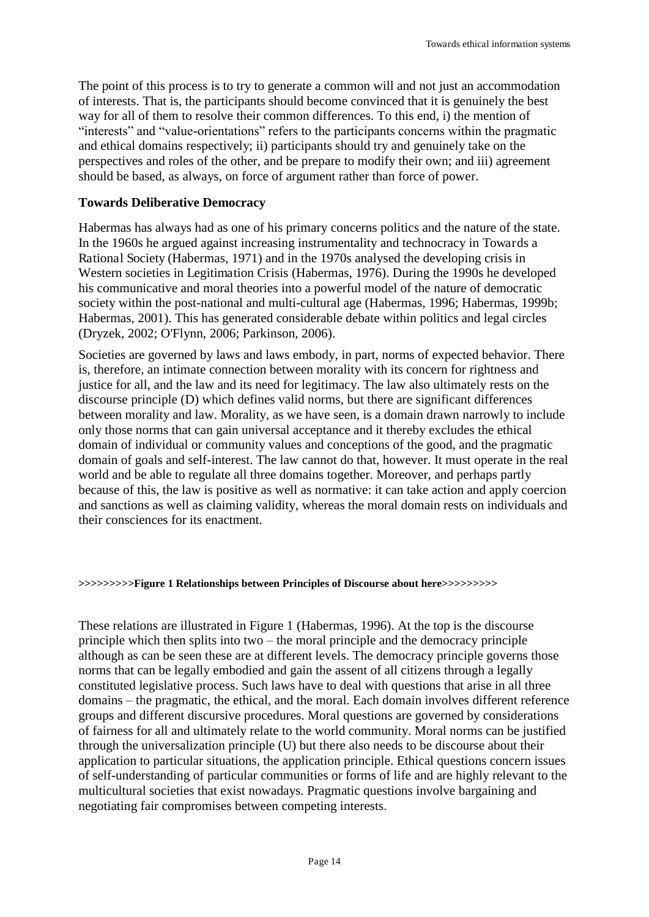The point of this process is to try to generate a common will and not just an accommodation of interests. That is, the participants should become convinced that it is genuinely the best way for all of them to resolve their common differences. To this end, i) the mention of "interests" and "value-orientations" refers to the participants concerns within the pragmatic and ethical domains respectively; ii) participants should try and genuinely take on the perspectives and roles of the other, and be prepare to modify their own; and iii) agreement should be based, as always, on force of argument rather than force of power.

#### **Towards Deliberative Democracy**

Habermas has always had as one of his primary concerns politics and the nature of the state. In the 1960s he argued against increasing instrumentality and technocracy in Towards a Rational Society (Habermas, 1971) and in the 1970s analysed the developing crisis in Western societies in Legitimation Crisis (Habermas, 1976). During the 1990s he developed his communicative and moral theories into a powerful model of the nature of democratic society within the post-national and multi-cultural age (Habermas, 1996; Habermas, 1999b; Habermas, 2001). This has generated considerable debate within politics and legal circles (Dryzek, 2002; O'Flynn, 2006; Parkinson, 2006).

Societies are governed by laws and laws embody, in part, norms of expected behavior. There is, therefore, an intimate connection between morality with its concern for rightness and justice for all, and the law and its need for legitimacy. The law also ultimately rests on the discourse principle (D) which defines valid norms, but there are significant differences between morality and law. Morality, as we have seen, is a domain drawn narrowly to include only those norms that can gain universal acceptance and it thereby excludes the ethical domain of individual or community values and conceptions of the good, and the pragmatic domain of goals and self-interest. The law cannot do that, however. It must operate in the real world and be able to regulate all three domains together. Moreover, and perhaps partly because of this, the law is positive as well as normative: it can take action and apply coercion and sanctions as well as claiming validity, whereas the moral domain rests on individuals and their consciences for its enactment.

#### **>>>>>>>>>Figure 1 Relationships between Principles of Discourse about here>>>>>>>>>**

These relations are illustrated in Figure 1 (Habermas, 1996). At the top is the discourse principle which then splits into two – the moral principle and the democracy principle although as can be seen these are at different levels. The democracy principle governs those norms that can be legally embodied and gain the assent of all citizens through a legally constituted legislative process. Such laws have to deal with questions that arise in all three domains – the pragmatic, the ethical, and the moral. Each domain involves different reference groups and different discursive procedures. Moral questions are governed by considerations of fairness for all and ultimately relate to the world community. Moral norms can be justified through the universalization principle (U) but there also needs to be discourse about their application to particular situations, the application principle. Ethical questions concern issues of self-understanding of particular communities or forms of life and are highly relevant to the multicultural societies that exist nowadays. Pragmatic questions involve bargaining and negotiating fair compromises between competing interests.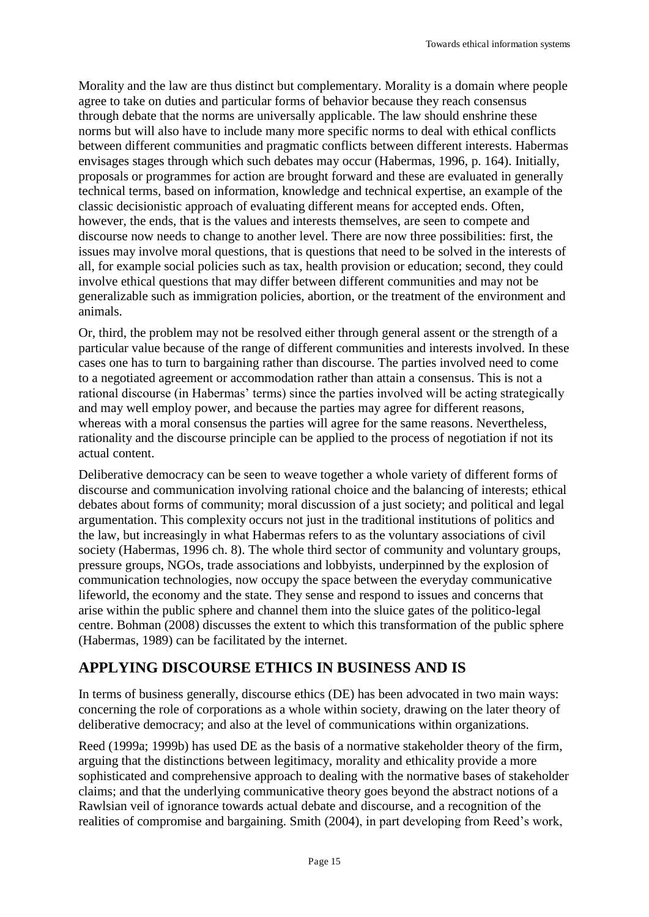Morality and the law are thus distinct but complementary. Morality is a domain where people agree to take on duties and particular forms of behavior because they reach consensus through debate that the norms are universally applicable. The law should enshrine these norms but will also have to include many more specific norms to deal with ethical conflicts between different communities and pragmatic conflicts between different interests. Habermas envisages stages through which such debates may occur (Habermas, 1996, p. 164). Initially, proposals or programmes for action are brought forward and these are evaluated in generally technical terms, based on information, knowledge and technical expertise, an example of the classic decisionistic approach of evaluating different means for accepted ends. Often, however, the ends, that is the values and interests themselves, are seen to compete and discourse now needs to change to another level. There are now three possibilities: first, the issues may involve moral questions, that is questions that need to be solved in the interests of all, for example social policies such as tax, health provision or education; second, they could involve ethical questions that may differ between different communities and may not be generalizable such as immigration policies, abortion, or the treatment of the environment and animals.

Or, third, the problem may not be resolved either through general assent or the strength of a particular value because of the range of different communities and interests involved. In these cases one has to turn to bargaining rather than discourse. The parties involved need to come to a negotiated agreement or accommodation rather than attain a consensus. This is not a rational discourse (in Habermas' terms) since the parties involved will be acting strategically and may well employ power, and because the parties may agree for different reasons, whereas with a moral consensus the parties will agree for the same reasons. Nevertheless, rationality and the discourse principle can be applied to the process of negotiation if not its actual content.

Deliberative democracy can be seen to weave together a whole variety of different forms of discourse and communication involving rational choice and the balancing of interests; ethical debates about forms of community; moral discussion of a just society; and political and legal argumentation. This complexity occurs not just in the traditional institutions of politics and the law, but increasingly in what Habermas refers to as the voluntary associations of civil society (Habermas, 1996 ch. 8). The whole third sector of community and voluntary groups, pressure groups, NGOs, trade associations and lobbyists, underpinned by the explosion of communication technologies, now occupy the space between the everyday communicative lifeworld, the economy and the state. They sense and respond to issues and concerns that arise within the public sphere and channel them into the sluice gates of the politico-legal centre. Bohman (2008) discusses the extent to which this transformation of the public sphere (Habermas, 1989) can be facilitated by the internet.

## **APPLYING DISCOURSE ETHICS IN BUSINESS AND IS**

In terms of business generally, discourse ethics (DE) has been advocated in two main ways: concerning the role of corporations as a whole within society, drawing on the later theory of deliberative democracy; and also at the level of communications within organizations.

Reed (1999a; 1999b) has used DE as the basis of a normative stakeholder theory of the firm, arguing that the distinctions between legitimacy, morality and ethicality provide a more sophisticated and comprehensive approach to dealing with the normative bases of stakeholder claims; and that the underlying communicative theory goes beyond the abstract notions of a Rawlsian veil of ignorance towards actual debate and discourse, and a recognition of the realities of compromise and bargaining. Smith (2004), in part developing from Reed's work,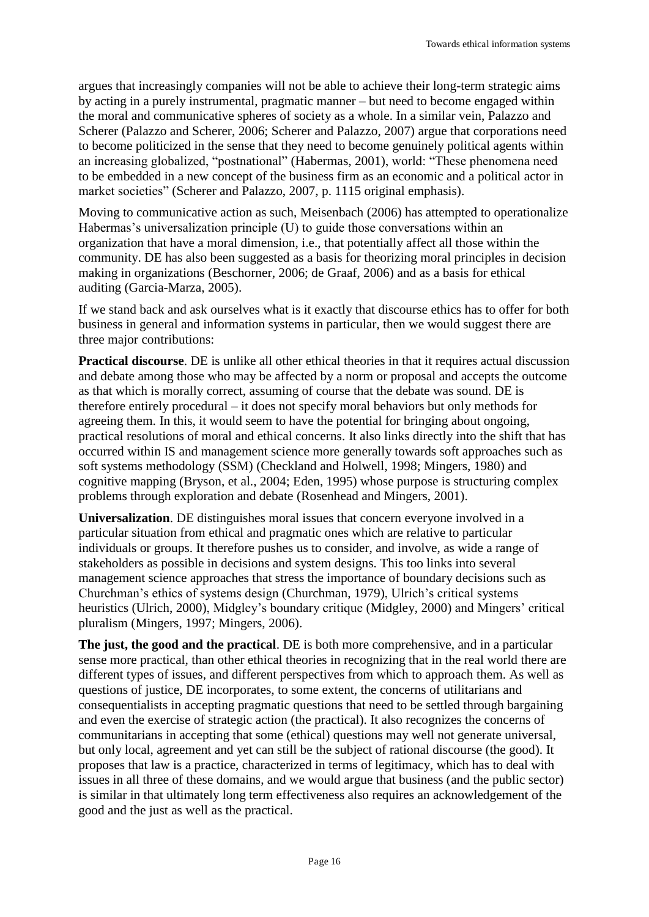argues that increasingly companies will not be able to achieve their long-term strategic aims by acting in a purely instrumental, pragmatic manner – but need to become engaged within the moral and communicative spheres of society as a whole. In a similar vein, Palazzo and Scherer (Palazzo and Scherer, 2006; Scherer and Palazzo, 2007) argue that corporations need to become politicized in the sense that they need to become genuinely political agents within an increasing globalized, "postnational" (Habermas, 2001), world: "These phenomena need to be embedded in a new concept of the business firm as an economic and a political actor in market societies" (Scherer and Palazzo, 2007, p. 1115 original emphasis).

Moving to communicative action as such, Meisenbach (2006) has attempted to operationalize Habermas's universalization principle (U) to guide those conversations within an organization that have a moral dimension, i.e., that potentially affect all those within the community. DE has also been suggested as a basis for theorizing moral principles in decision making in organizations (Beschorner, 2006; de Graaf, 2006) and as a basis for ethical auditing (Garcia-Marza, 2005).

If we stand back and ask ourselves what is it exactly that discourse ethics has to offer for both business in general and information systems in particular, then we would suggest there are three major contributions:

**Practical discourse**. DE is unlike all other ethical theories in that it requires actual discussion and debate among those who may be affected by a norm or proposal and accepts the outcome as that which is morally correct, assuming of course that the debate was sound. DE is therefore entirely procedural – it does not specify moral behaviors but only methods for agreeing them. In this, it would seem to have the potential for bringing about ongoing, practical resolutions of moral and ethical concerns. It also links directly into the shift that has occurred within IS and management science more generally towards soft approaches such as soft systems methodology (SSM) (Checkland and Holwell, 1998; Mingers, 1980) and cognitive mapping (Bryson, et al., 2004; Eden, 1995) whose purpose is structuring complex problems through exploration and debate (Rosenhead and Mingers, 2001).

**Universalization**. DE distinguishes moral issues that concern everyone involved in a particular situation from ethical and pragmatic ones which are relative to particular individuals or groups. It therefore pushes us to consider, and involve, as wide a range of stakeholders as possible in decisions and system designs. This too links into several management science approaches that stress the importance of boundary decisions such as Churchman's ethics of systems design (Churchman, 1979), Ulrich's critical systems heuristics (Ulrich, 2000), Midgley's boundary critique (Midgley, 2000) and Mingers' critical pluralism (Mingers, 1997; Mingers, 2006).

**The just, the good and the practical**. DE is both more comprehensive, and in a particular sense more practical, than other ethical theories in recognizing that in the real world there are different types of issues, and different perspectives from which to approach them. As well as questions of justice, DE incorporates, to some extent, the concerns of utilitarians and consequentialists in accepting pragmatic questions that need to be settled through bargaining and even the exercise of strategic action (the practical). It also recognizes the concerns of communitarians in accepting that some (ethical) questions may well not generate universal, but only local, agreement and yet can still be the subject of rational discourse (the good). It proposes that law is a practice, characterized in terms of legitimacy, which has to deal with issues in all three of these domains, and we would argue that business (and the public sector) is similar in that ultimately long term effectiveness also requires an acknowledgement of the good and the just as well as the practical.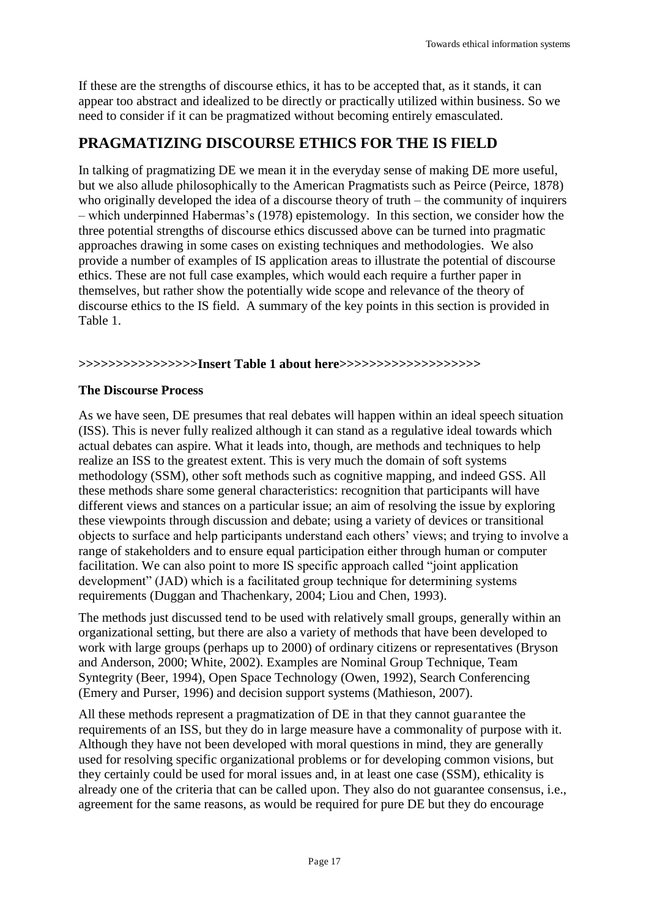If these are the strengths of discourse ethics, it has to be accepted that, as it stands, it can appear too abstract and idealized to be directly or practically utilized within business. So we need to consider if it can be pragmatized without becoming entirely emasculated.

## **PRAGMATIZING DISCOURSE ETHICS FOR THE IS FIELD**

In talking of pragmatizing DE we mean it in the everyday sense of making DE more useful, but we also allude philosophically to the American Pragmatists such as Peirce (Peirce, 1878) who originally developed the idea of a discourse theory of truth – the community of inquirers – which underpinned Habermas's (1978) epistemology. In this section, we consider how the three potential strengths of discourse ethics discussed above can be turned into pragmatic approaches drawing in some cases on existing techniques and methodologies. We also provide a number of examples of IS application areas to illustrate the potential of discourse ethics. These are not full case examples, which would each require a further paper in themselves, but rather show the potentially wide scope and relevance of the theory of discourse ethics to the IS field. A summary of the key points in this section is provided in Table 1.

#### **>>>>>>>>>>>>>>>>Insert Table 1 about here>>>>>>>>>>>>>>>>>>>**

#### **The Discourse Process**

As we have seen, DE presumes that real debates will happen within an ideal speech situation (ISS). This is never fully realized although it can stand as a regulative ideal towards which actual debates can aspire. What it leads into, though, are methods and techniques to help realize an ISS to the greatest extent. This is very much the domain of soft systems methodology (SSM), other soft methods such as cognitive mapping, and indeed GSS. All these methods share some general characteristics: recognition that participants will have different views and stances on a particular issue; an aim of resolving the issue by exploring these viewpoints through discussion and debate; using a variety of devices or transitional objects to surface and help participants understand each others' views; and trying to involve a range of stakeholders and to ensure equal participation either through human or computer facilitation. We can also point to more IS specific approach called "joint application development" (JAD) which is a facilitated group technique for determining systems requirements (Duggan and Thachenkary, 2004; Liou and Chen, 1993).

The methods just discussed tend to be used with relatively small groups, generally within an organizational setting, but there are also a variety of methods that have been developed to work with large groups (perhaps up to 2000) of ordinary citizens or representatives (Bryson and Anderson, 2000; White, 2002). Examples are Nominal Group Technique, Team Syntegrity (Beer, 1994), Open Space Technology (Owen, 1992), Search Conferencing (Emery and Purser, 1996) and decision support systems (Mathieson, 2007).

All these methods represent a pragmatization of DE in that they cannot guarantee the requirements of an ISS, but they do in large measure have a commonality of purpose with it. Although they have not been developed with moral questions in mind, they are generally used for resolving specific organizational problems or for developing common visions, but they certainly could be used for moral issues and, in at least one case (SSM), ethicality is already one of the criteria that can be called upon. They also do not guarantee consensus, i.e., agreement for the same reasons, as would be required for pure DE but they do encourage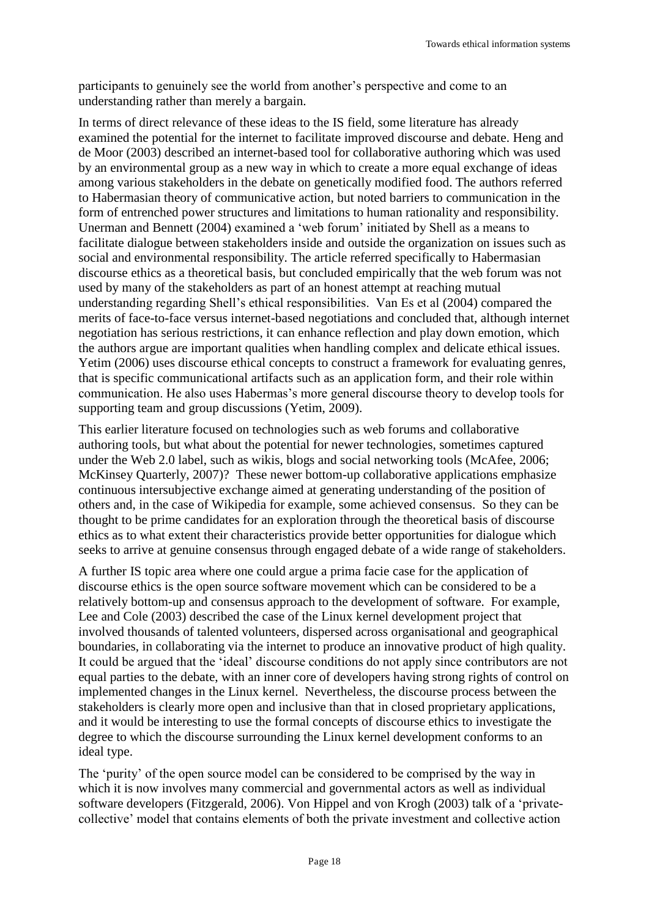participants to genuinely see the world from another's perspective and come to an understanding rather than merely a bargain.

In terms of direct relevance of these ideas to the IS field, some literature has already examined the potential for the internet to facilitate improved discourse and debate. Heng and de Moor (2003) described an internet-based tool for collaborative authoring which was used by an environmental group as a new way in which to create a more equal exchange of ideas among various stakeholders in the debate on genetically modified food. The authors referred to Habermasian theory of communicative action, but noted barriers to communication in the form of entrenched power structures and limitations to human rationality and responsibility. Unerman and Bennett (2004) examined a 'web forum' initiated by Shell as a means to facilitate dialogue between stakeholders inside and outside the organization on issues such as social and environmental responsibility. The article referred specifically to Habermasian discourse ethics as a theoretical basis, but concluded empirically that the web forum was not used by many of the stakeholders as part of an honest attempt at reaching mutual understanding regarding Shell's ethical responsibilities. Van Es et al (2004) compared the merits of face-to-face versus internet-based negotiations and concluded that, although internet negotiation has serious restrictions, it can enhance reflection and play down emotion, which the authors argue are important qualities when handling complex and delicate ethical issues. Yetim (2006) uses discourse ethical concepts to construct a framework for evaluating genres, that is specific communicational artifacts such as an application form, and their role within communication. He also uses Habermas's more general discourse theory to develop tools for supporting team and group discussions (Yetim, 2009).

This earlier literature focused on technologies such as web forums and collaborative authoring tools, but what about the potential for newer technologies, sometimes captured under the Web 2.0 label, such as wikis, blogs and social networking tools (McAfee, 2006; McKinsey Quarterly, 2007)? These newer bottom-up collaborative applications emphasize continuous intersubjective exchange aimed at generating understanding of the position of others and, in the case of Wikipedia for example, some achieved consensus. So they can be thought to be prime candidates for an exploration through the theoretical basis of discourse ethics as to what extent their characteristics provide better opportunities for dialogue which seeks to arrive at genuine consensus through engaged debate of a wide range of stakeholders.

A further IS topic area where one could argue a prima facie case for the application of discourse ethics is the open source software movement which can be considered to be a relatively bottom-up and consensus approach to the development of software. For example, Lee and Cole (2003) described the case of the Linux kernel development project that involved thousands of talented volunteers, dispersed across organisational and geographical boundaries, in collaborating via the internet to produce an innovative product of high quality. It could be argued that the 'ideal' discourse conditions do not apply since contributors are not equal parties to the debate, with an inner core of developers having strong rights of control on implemented changes in the Linux kernel. Nevertheless, the discourse process between the stakeholders is clearly more open and inclusive than that in closed proprietary applications, and it would be interesting to use the formal concepts of discourse ethics to investigate the degree to which the discourse surrounding the Linux kernel development conforms to an ideal type.

The 'purity' of the open source model can be considered to be comprised by the way in which it is now involves many commercial and governmental actors as well as individual software developers (Fitzgerald, 2006). Von Hippel and von Krogh (2003) talk of a 'privatecollective' model that contains elements of both the private investment and collective action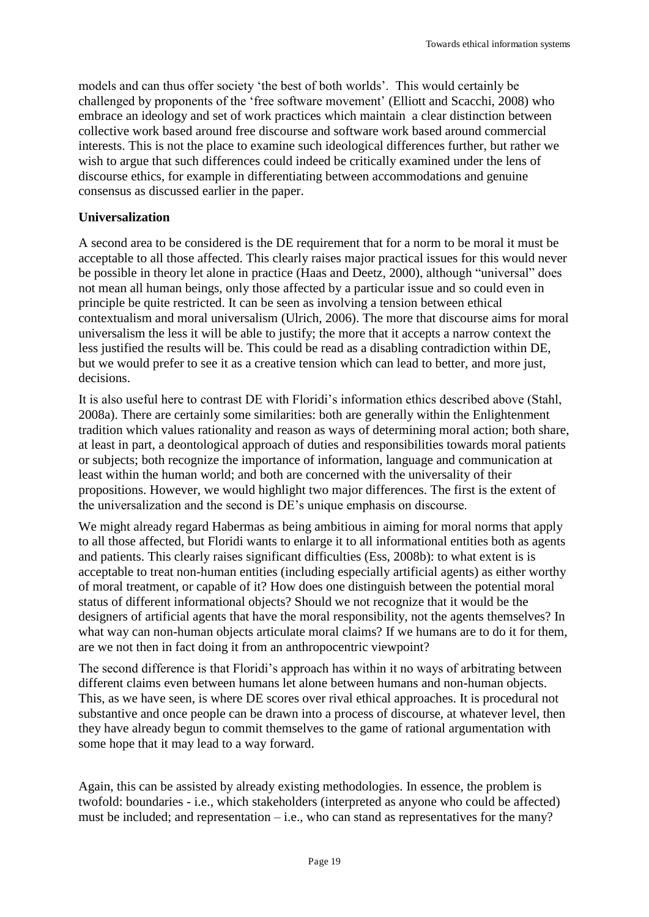models and can thus offer society 'the best of both worlds'. This would certainly be challenged by proponents of the 'free software movement' (Elliott and Scacchi, 2008) who embrace an ideology and set of work practices which maintain a clear distinction between collective work based around free discourse and software work based around commercial interests. This is not the place to examine such ideological differences further, but rather we wish to argue that such differences could indeed be critically examined under the lens of discourse ethics, for example in differentiating between accommodations and genuine consensus as discussed earlier in the paper.

#### **Universalization**

A second area to be considered is the DE requirement that for a norm to be moral it must be acceptable to all those affected. This clearly raises major practical issues for this would never be possible in theory let alone in practice (Haas and Deetz, 2000), although "universal" does not mean all human beings, only those affected by a particular issue and so could even in principle be quite restricted. It can be seen as involving a tension between ethical contextualism and moral universalism (Ulrich, 2006). The more that discourse aims for moral universalism the less it will be able to justify; the more that it accepts a narrow context the less justified the results will be. This could be read as a disabling contradiction within DE, but we would prefer to see it as a creative tension which can lead to better, and more just, decisions.

It is also useful here to contrast DE with Floridi's information ethics described above (Stahl, 2008a). There are certainly some similarities: both are generally within the Enlightenment tradition which values rationality and reason as ways of determining moral action; both share, at least in part, a deontological approach of duties and responsibilities towards moral patients or subjects; both recognize the importance of information, language and communication at least within the human world; and both are concerned with the universality of their propositions. However, we would highlight two major differences. The first is the extent of the universalization and the second is DE's unique emphasis on discourse.

We might already regard Habermas as being ambitious in aiming for moral norms that apply to all those affected, but Floridi wants to enlarge it to all informational entities both as agents and patients. This clearly raises significant difficulties (Ess, 2008b): to what extent is is acceptable to treat non-human entities (including especially artificial agents) as either worthy of moral treatment, or capable of it? How does one distinguish between the potential moral status of different informational objects? Should we not recognize that it would be the designers of artificial agents that have the moral responsibility, not the agents themselves? In what way can non-human objects articulate moral claims? If we humans are to do it for them, are we not then in fact doing it from an anthropocentric viewpoint?

The second difference is that Floridi's approach has within it no ways of arbitrating between different claims even between humans let alone between humans and non-human objects. This, as we have seen, is where DE scores over rival ethical approaches. It is procedural not substantive and once people can be drawn into a process of discourse, at whatever level, then they have already begun to commit themselves to the game of rational argumentation with some hope that it may lead to a way forward.

Again, this can be assisted by already existing methodologies. In essence, the problem is twofold: boundaries - i.e., which stakeholders (interpreted as anyone who could be affected) must be included; and representation  $-i.e.,$  who can stand as representatives for the many?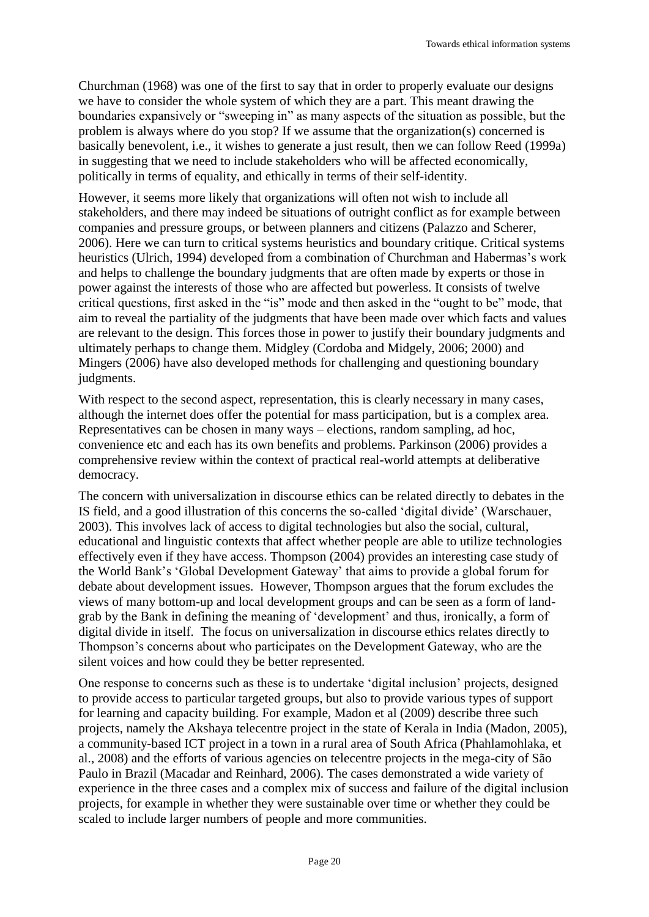Churchman (1968) was one of the first to say that in order to properly evaluate our designs we have to consider the whole system of which they are a part. This meant drawing the boundaries expansively or "sweeping in" as many aspects of the situation as possible, but the problem is always where do you stop? If we assume that the organization(s) concerned is basically benevolent, i.e., it wishes to generate a just result, then we can follow Reed (1999a) in suggesting that we need to include stakeholders who will be affected economically, politically in terms of equality, and ethically in terms of their self-identity.

However, it seems more likely that organizations will often not wish to include all stakeholders, and there may indeed be situations of outright conflict as for example between companies and pressure groups, or between planners and citizens (Palazzo and Scherer, 2006). Here we can turn to critical systems heuristics and boundary critique. Critical systems heuristics (Ulrich, 1994) developed from a combination of Churchman and Habermas's work and helps to challenge the boundary judgments that are often made by experts or those in power against the interests of those who are affected but powerless. It consists of twelve critical questions, first asked in the "is" mode and then asked in the "ought to be" mode, that aim to reveal the partiality of the judgments that have been made over which facts and values are relevant to the design. This forces those in power to justify their boundary judgments and ultimately perhaps to change them. Midgley (Cordoba and Midgely, 2006; 2000) and Mingers (2006) have also developed methods for challenging and questioning boundary judgments.

With respect to the second aspect, representation, this is clearly necessary in many cases, although the internet does offer the potential for mass participation, but is a complex area. Representatives can be chosen in many ways – elections, random sampling, ad hoc, convenience etc and each has its own benefits and problems. Parkinson (2006) provides a comprehensive review within the context of practical real-world attempts at deliberative democracy.

The concern with universalization in discourse ethics can be related directly to debates in the IS field, and a good illustration of this concerns the so-called 'digital divide' (Warschauer, 2003). This involves lack of access to digital technologies but also the social, cultural, educational and linguistic contexts that affect whether people are able to utilize technologies effectively even if they have access. Thompson (2004) provides an interesting case study of the World Bank's 'Global Development Gateway' that aims to provide a global forum for debate about development issues. However, Thompson argues that the forum excludes the views of many bottom-up and local development groups and can be seen as a form of landgrab by the Bank in defining the meaning of 'development' and thus, ironically, a form of digital divide in itself. The focus on universalization in discourse ethics relates directly to Thompson's concerns about who participates on the Development Gateway, who are the silent voices and how could they be better represented.

One response to concerns such as these is to undertake 'digital inclusion' projects, designed to provide access to particular targeted groups, but also to provide various types of support for learning and capacity building. For example, Madon et al (2009) describe three such projects, namely the Akshaya telecentre project in the state of Kerala in India (Madon, 2005), a community-based ICT project in a town in a rural area of South Africa (Phahlamohlaka, et al., 2008) and the efforts of various agencies on telecentre projects in the mega-city of São Paulo in Brazil (Macadar and Reinhard, 2006). The cases demonstrated a wide variety of experience in the three cases and a complex mix of success and failure of the digital inclusion projects, for example in whether they were sustainable over time or whether they could be scaled to include larger numbers of people and more communities.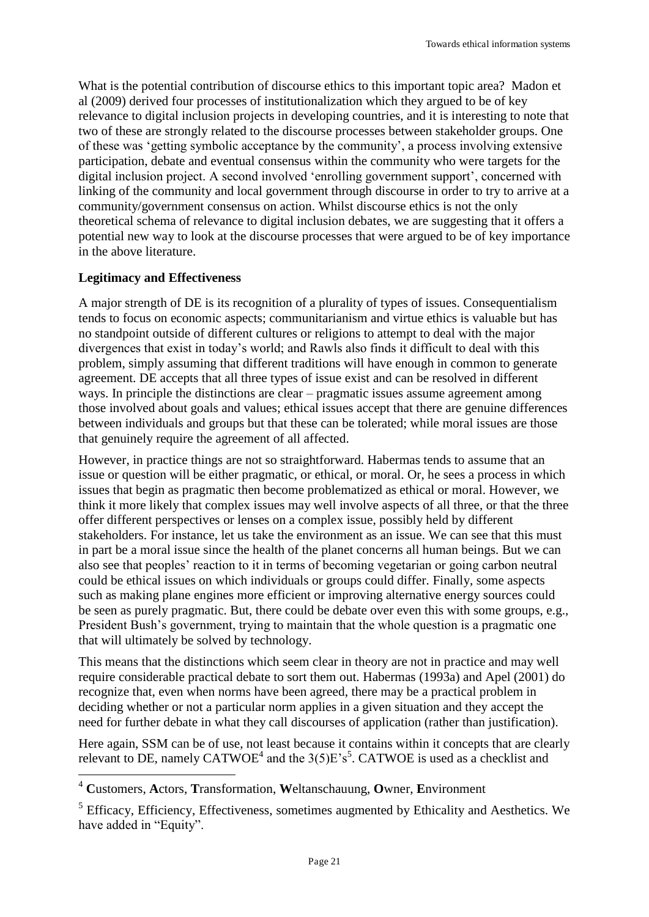What is the potential contribution of discourse ethics to this important topic area? Madon et al (2009) derived four processes of institutionalization which they argued to be of key relevance to digital inclusion projects in developing countries, and it is interesting to note that two of these are strongly related to the discourse processes between stakeholder groups. One of these was 'getting symbolic acceptance by the community', a process involving extensive participation, debate and eventual consensus within the community who were targets for the digital inclusion project. A second involved 'enrolling government support', concerned with linking of the community and local government through discourse in order to try to arrive at a community/government consensus on action. Whilst discourse ethics is not the only theoretical schema of relevance to digital inclusion debates, we are suggesting that it offers a potential new way to look at the discourse processes that were argued to be of key importance in the above literature.

#### **Legitimacy and Effectiveness**

<u>.</u>

A major strength of DE is its recognition of a plurality of types of issues. Consequentialism tends to focus on economic aspects; communitarianism and virtue ethics is valuable but has no standpoint outside of different cultures or religions to attempt to deal with the major divergences that exist in today's world; and Rawls also finds it difficult to deal with this problem, simply assuming that different traditions will have enough in common to generate agreement. DE accepts that all three types of issue exist and can be resolved in different ways. In principle the distinctions are clear – pragmatic issues assume agreement among those involved about goals and values; ethical issues accept that there are genuine differences between individuals and groups but that these can be tolerated; while moral issues are those that genuinely require the agreement of all affected.

However, in practice things are not so straightforward. Habermas tends to assume that an issue or question will be either pragmatic, or ethical, or moral. Or, he sees a process in which issues that begin as pragmatic then become problematized as ethical or moral. However, we think it more likely that complex issues may well involve aspects of all three, or that the three offer different perspectives or lenses on a complex issue, possibly held by different stakeholders. For instance, let us take the environment as an issue. We can see that this must in part be a moral issue since the health of the planet concerns all human beings. But we can also see that peoples' reaction to it in terms of becoming vegetarian or going carbon neutral could be ethical issues on which individuals or groups could differ. Finally, some aspects such as making plane engines more efficient or improving alternative energy sources could be seen as purely pragmatic. But, there could be debate over even this with some groups, e.g., President Bush's government, trying to maintain that the whole question is a pragmatic one that will ultimately be solved by technology.

This means that the distinctions which seem clear in theory are not in practice and may well require considerable practical debate to sort them out. Habermas (1993a) and Apel (2001) do recognize that, even when norms have been agreed, there may be a practical problem in deciding whether or not a particular norm applies in a given situation and they accept the need for further debate in what they call discourses of application (rather than justification).

Here again, SSM can be of use, not least because it contains within it concepts that are clearly relevant to DE, namely CATWOE<sup>4</sup> and the  $3(5)E's^5$ . CATWOE is used as a checklist and

<sup>4</sup> **C**ustomers, **A**ctors, **T**ransformation, **W**eltanschauung, **O**wner, **E**nvironment

<sup>&</sup>lt;sup>5</sup> Efficacy, Efficiency, Effectiveness, sometimes augmented by Ethicality and Aesthetics. We have added in "Equity".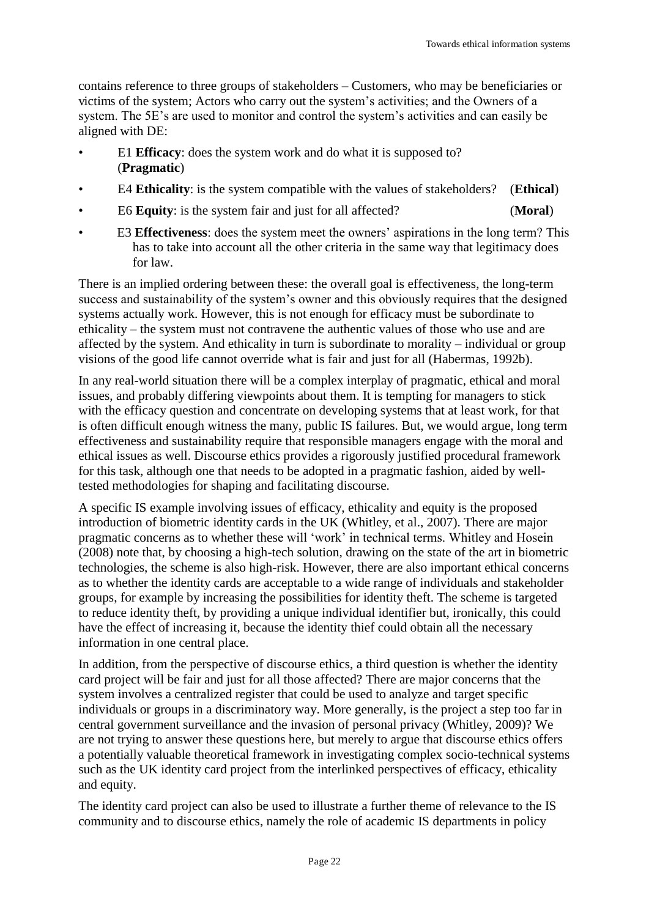contains reference to three groups of stakeholders – Customers, who may be beneficiaries or victims of the system; Actors who carry out the system's activities; and the Owners of a system. The 5E's are used to monitor and control the system's activities and can easily be aligned with DE:

- E1 **Efficacy**: does the system work and do what it is supposed to? (**Pragmatic**)
- E4 **Ethicality**: is the system compatible with the values of stakeholders? (**Ethical**)
- E6 **Equity**: is the system fair and just for all affected? (**Moral**)
- E3 **Effectiveness**: does the system meet the owners' aspirations in the long term? This has to take into account all the other criteria in the same way that legitimacy does for law.

There is an implied ordering between these: the overall goal is effectiveness, the long-term success and sustainability of the system's owner and this obviously requires that the designed systems actually work. However, this is not enough for efficacy must be subordinate to ethicality – the system must not contravene the authentic values of those who use and are affected by the system. And ethicality in turn is subordinate to morality – individual or group visions of the good life cannot override what is fair and just for all (Habermas, 1992b).

In any real-world situation there will be a complex interplay of pragmatic, ethical and moral issues, and probably differing viewpoints about them. It is tempting for managers to stick with the efficacy question and concentrate on developing systems that at least work, for that is often difficult enough witness the many, public IS failures. But, we would argue, long term effectiveness and sustainability require that responsible managers engage with the moral and ethical issues as well. Discourse ethics provides a rigorously justified procedural framework for this task, although one that needs to be adopted in a pragmatic fashion, aided by welltested methodologies for shaping and facilitating discourse.

A specific IS example involving issues of efficacy, ethicality and equity is the proposed introduction of biometric identity cards in the UK (Whitley, et al., 2007). There are major pragmatic concerns as to whether these will 'work' in technical terms. Whitley and Hosein (2008) note that, by choosing a high-tech solution, drawing on the state of the art in biometric technologies, the scheme is also high-risk. However, there are also important ethical concerns as to whether the identity cards are acceptable to a wide range of individuals and stakeholder groups, for example by increasing the possibilities for identity theft. The scheme is targeted to reduce identity theft, by providing a unique individual identifier but, ironically, this could have the effect of increasing it, because the identity thief could obtain all the necessary information in one central place.

In addition, from the perspective of discourse ethics, a third question is whether the identity card project will be fair and just for all those affected? There are major concerns that the system involves a centralized register that could be used to analyze and target specific individuals or groups in a discriminatory way. More generally, is the project a step too far in central government surveillance and the invasion of personal privacy (Whitley, 2009)? We are not trying to answer these questions here, but merely to argue that discourse ethics offers a potentially valuable theoretical framework in investigating complex socio-technical systems such as the UK identity card project from the interlinked perspectives of efficacy, ethicality and equity.

The identity card project can also be used to illustrate a further theme of relevance to the IS community and to discourse ethics, namely the role of academic IS departments in policy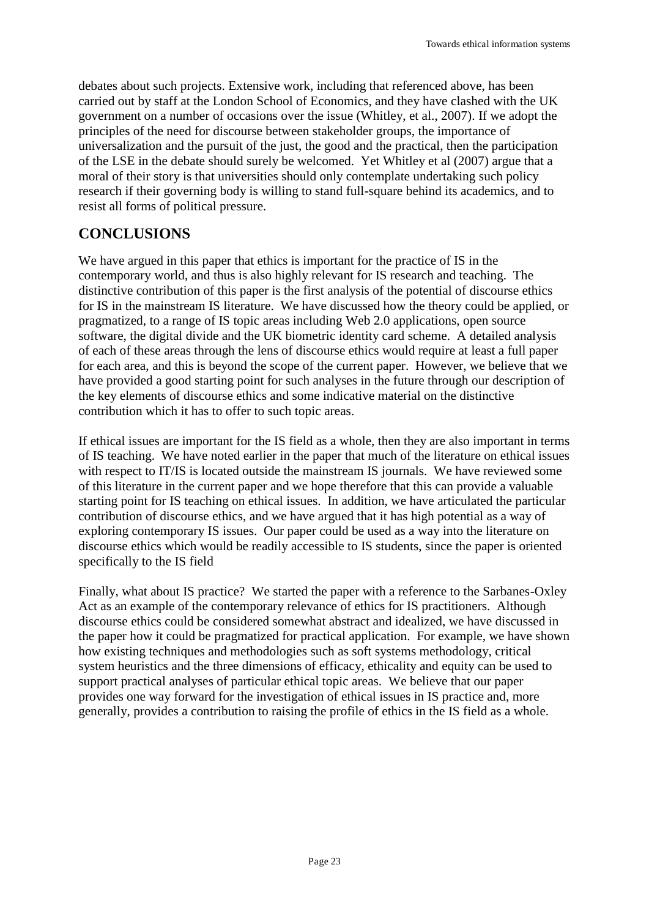debates about such projects. Extensive work, including that referenced above, has been carried out by staff at the London School of Economics, and they have clashed with the UK government on a number of occasions over the issue (Whitley, et al., 2007). If we adopt the principles of the need for discourse between stakeholder groups, the importance of universalization and the pursuit of the just, the good and the practical, then the participation of the LSE in the debate should surely be welcomed. Yet Whitley et al (2007) argue that a moral of their story is that universities should only contemplate undertaking such policy research if their governing body is willing to stand full-square behind its academics, and to resist all forms of political pressure.

## **CONCLUSIONS**

We have argued in this paper that ethics is important for the practice of IS in the contemporary world, and thus is also highly relevant for IS research and teaching. The distinctive contribution of this paper is the first analysis of the potential of discourse ethics for IS in the mainstream IS literature. We have discussed how the theory could be applied, or pragmatized, to a range of IS topic areas including Web 2.0 applications, open source software, the digital divide and the UK biometric identity card scheme. A detailed analysis of each of these areas through the lens of discourse ethics would require at least a full paper for each area, and this is beyond the scope of the current paper. However, we believe that we have provided a good starting point for such analyses in the future through our description of the key elements of discourse ethics and some indicative material on the distinctive contribution which it has to offer to such topic areas.

If ethical issues are important for the IS field as a whole, then they are also important in terms of IS teaching. We have noted earlier in the paper that much of the literature on ethical issues with respect to IT/IS is located outside the mainstream IS journals. We have reviewed some of this literature in the current paper and we hope therefore that this can provide a valuable starting point for IS teaching on ethical issues. In addition, we have articulated the particular contribution of discourse ethics, and we have argued that it has high potential as a way of exploring contemporary IS issues. Our paper could be used as a way into the literature on discourse ethics which would be readily accessible to IS students, since the paper is oriented specifically to the IS field

Finally, what about IS practice? We started the paper with a reference to the Sarbanes-Oxley Act as an example of the contemporary relevance of ethics for IS practitioners. Although discourse ethics could be considered somewhat abstract and idealized, we have discussed in the paper how it could be pragmatized for practical application. For example, we have shown how existing techniques and methodologies such as soft systems methodology, critical system heuristics and the three dimensions of efficacy, ethicality and equity can be used to support practical analyses of particular ethical topic areas. We believe that our paper provides one way forward for the investigation of ethical issues in IS practice and, more generally, provides a contribution to raising the profile of ethics in the IS field as a whole.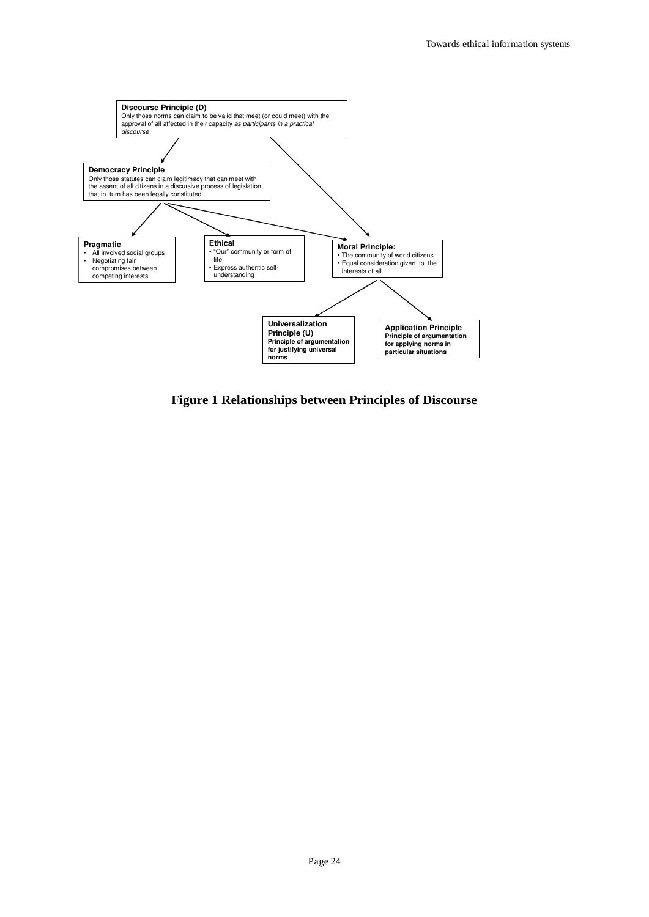

**Figure 1 Relationships between Principles of Discourse**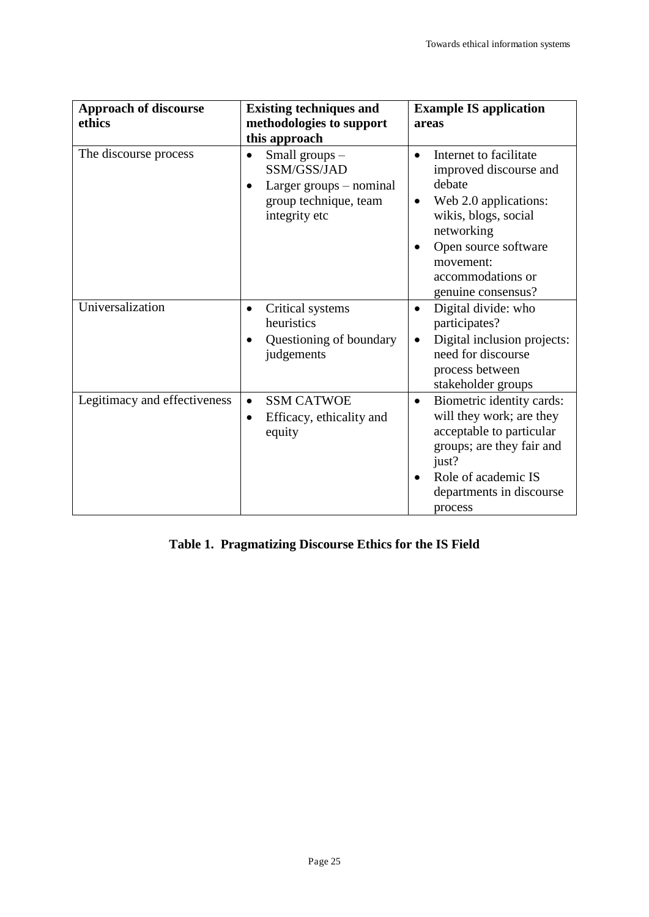| <b>Approach of discourse</b><br>ethics | <b>Existing techniques and</b><br>methodologies to support<br>this approach                                                  | <b>Example IS application</b><br>areas                                                                                                                                                                    |
|----------------------------------------|------------------------------------------------------------------------------------------------------------------------------|-----------------------------------------------------------------------------------------------------------------------------------------------------------------------------------------------------------|
| The discourse process                  | Small groups -<br>$\bullet$<br>SSM/GSS/JAD<br>Larger groups - nominal<br>$\bullet$<br>group technique, team<br>integrity etc | Internet to facilitate<br>improved discourse and<br>debate<br>Web 2.0 applications:<br>wikis, blogs, social<br>networking<br>Open source software<br>movement:<br>accommodations or<br>genuine consensus? |
| Universalization                       | Critical systems<br>$\bullet$<br>heuristics<br>Questioning of boundary<br>$\bullet$<br>judgements                            | Digital divide: who<br>$\bullet$<br>participates?<br>Digital inclusion projects:<br>$\bullet$<br>need for discourse<br>process between<br>stakeholder groups                                              |
| Legitimacy and effectiveness           | <b>SSM CATWOE</b><br>$\bullet$<br>Efficacy, ethicality and<br>$\bullet$<br>equity                                            | Biometric identity cards:<br>$\bullet$<br>will they work; are they<br>acceptable to particular<br>groups; are they fair and<br>just?<br>Role of academic IS<br>departments in discourse<br>process        |

## **Table 1. Pragmatizing Discourse Ethics for the IS Field**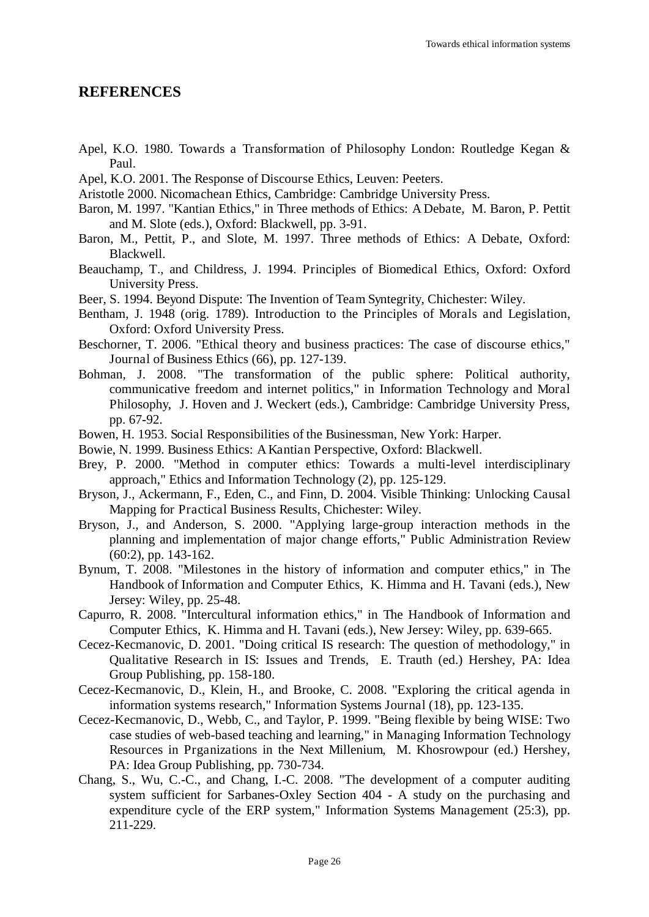#### **REFERENCES**

- Apel, K.O. 1980. Towards a Transformation of Philosophy London: Routledge Kegan & Paul.
- Apel, K.O. 2001. The Response of Discourse Ethics, Leuven: Peeters.
- Aristotle 2000. Nicomachean Ethics, Cambridge: Cambridge University Press.
- Baron, M. 1997. "Kantian Ethics," in Three methods of Ethics: A Debate, M. Baron, P. Pettit and M. Slote (eds.), Oxford: Blackwell, pp. 3-91.
- Baron, M., Pettit, P., and Slote, M. 1997. Three methods of Ethics: A Debate, Oxford: Blackwell.
- Beauchamp, T., and Childress, J. 1994. Principles of Biomedical Ethics, Oxford: Oxford University Press.
- Beer, S. 1994. Beyond Dispute: The Invention of Team Syntegrity, Chichester: Wiley.
- Bentham, J. 1948 (orig. 1789). Introduction to the Principles of Morals and Legislation, Oxford: Oxford University Press.
- Beschorner, T. 2006. "Ethical theory and business practices: The case of discourse ethics," Journal of Business Ethics (66), pp. 127-139.
- Bohman, J. 2008. "The transformation of the public sphere: Political authority, communicative freedom and internet politics," in Information Technology and Moral Philosophy, J. Hoven and J. Weckert (eds.), Cambridge: Cambridge University Press, pp. 67-92.
- Bowen, H. 1953. Social Responsibilities of the Businessman, New York: Harper.
- Bowie, N. 1999. Business Ethics: A Kantian Perspective, Oxford: Blackwell.
- Brey, P. 2000. "Method in computer ethics: Towards a multi-level interdisciplinary approach," Ethics and Information Technology (2), pp. 125-129.
- Bryson, J., Ackermann, F., Eden, C., and Finn, D. 2004. Visible Thinking: Unlocking Causal Mapping for Practical Business Results, Chichester: Wiley.
- Bryson, J., and Anderson, S. 2000. "Applying large-group interaction methods in the planning and implementation of major change efforts," Public Administration Review (60:2), pp. 143-162.
- Bynum, T. 2008. "Milestones in the history of information and computer ethics," in The Handbook of Information and Computer Ethics, K. Himma and H. Tavani (eds.), New Jersey: Wiley, pp. 25-48.
- Capurro, R. 2008. "Intercultural information ethics," in The Handbook of Information and Computer Ethics, K. Himma and H. Tavani (eds.), New Jersey: Wiley, pp. 639-665.
- Cecez-Kecmanovic, D. 2001. "Doing critical IS research: The question of methodology," in Qualitative Research in IS: Issues and Trends, E. Trauth (ed.) Hershey, PA: Idea Group Publishing, pp. 158-180.
- Cecez-Kecmanovic, D., Klein, H., and Brooke, C. 2008. "Exploring the critical agenda in information systems research," Information Systems Journal (18), pp. 123-135.
- Cecez-Kecmanovic, D., Webb, C., and Taylor, P. 1999. "Being flexible by being WISE: Two case studies of web-based teaching and learning," in Managing Information Technology Resources in Prganizations in the Next Millenium, M. Khosrowpour (ed.) Hershey, PA: Idea Group Publishing, pp. 730-734.
- Chang, S., Wu, C.-C., and Chang, I.-C. 2008. "The development of a computer auditing system sufficient for Sarbanes-Oxley Section 404 - A study on the purchasing and expenditure cycle of the ERP system," Information Systems Management (25:3), pp. 211-229.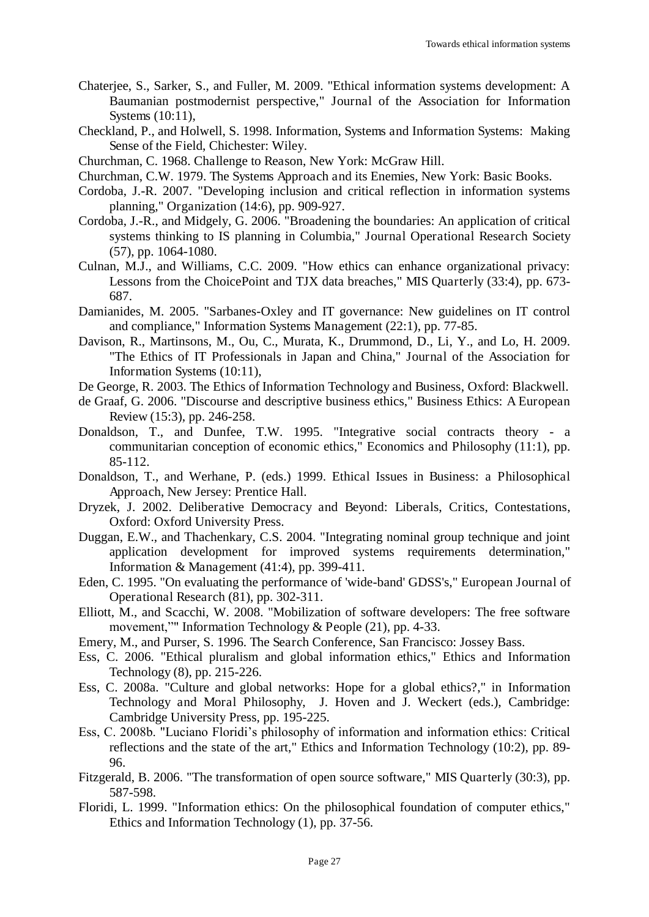- Chaterjee, S., Sarker, S., and Fuller, M. 2009. "Ethical information systems development: A Baumanian postmodernist perspective," Journal of the Association for Information Systems (10:11),
- Checkland, P., and Holwell, S. 1998. Information, Systems and Information Systems: Making Sense of the Field, Chichester: Wiley.
- Churchman, C. 1968. Challenge to Reason, New York: McGraw Hill.
- Churchman, C.W. 1979. The Systems Approach and its Enemies, New York: Basic Books.
- Cordoba, J.-R. 2007. "Developing inclusion and critical reflection in information systems planning," Organization (14:6), pp. 909-927.
- Cordoba, J.-R., and Midgely, G. 2006. "Broadening the boundaries: An application of critical systems thinking to IS planning in Columbia," Journal Operational Research Society (57), pp. 1064-1080.
- Culnan, M.J., and Williams, C.C. 2009. "How ethics can enhance organizational privacy: Lessons from the ChoicePoint and TJX data breaches," MIS Quarterly (33:4), pp. 673- 687.
- Damianides, M. 2005. "Sarbanes-Oxley and IT governance: New guidelines on IT control and compliance," Information Systems Management (22:1), pp. 77-85.
- Davison, R., Martinsons, M., Ou, C., Murata, K., Drummond, D., Li, Y., and Lo, H. 2009. "The Ethics of IT Professionals in Japan and China," Journal of the Association for Information Systems (10:11),
- De George, R. 2003. The Ethics of Information Technology and Business, Oxford: Blackwell.
- de Graaf, G. 2006. "Discourse and descriptive business ethics," Business Ethics: A European Review (15:3), pp. 246-258.
- Donaldson, T., and Dunfee, T.W. 1995. "Integrative social contracts theory a communitarian conception of economic ethics," Economics and Philosophy (11:1), pp. 85-112.
- Donaldson, T., and Werhane, P. (eds.) 1999. Ethical Issues in Business: a Philosophical Approach, New Jersey: Prentice Hall.
- Dryzek, J. 2002. Deliberative Democracy and Beyond: Liberals, Critics, Contestations, Oxford: Oxford University Press.
- Duggan, E.W., and Thachenkary, C.S. 2004. "Integrating nominal group technique and joint application development for improved systems requirements determination," Information & Management (41:4), pp. 399-411.
- Eden, C. 1995. "On evaluating the performance of 'wide-band' GDSS's," European Journal of Operational Research (81), pp. 302-311.
- Elliott, M., and Scacchi, W. 2008. "Mobilization of software developers: The free software movement,"" Information Technology & People (21), pp. 4-33.
- Emery, M., and Purser, S. 1996. The Search Conference, San Francisco: Jossey Bass.
- Ess, C. 2006. "Ethical pluralism and global information ethics," Ethics and Information Technology (8), pp. 215-226.
- Ess, C. 2008a. "Culture and global networks: Hope for a global ethics?," in Information Technology and Moral Philosophy, J. Hoven and J. Weckert (eds.), Cambridge: Cambridge University Press, pp. 195-225.
- Ess, C. 2008b. "Luciano Floridi's philosophy of information and information ethics: Critical reflections and the state of the art," Ethics and Information Technology (10:2), pp. 89- 96.
- Fitzgerald, B. 2006. "The transformation of open source software," MIS Quarterly (30:3), pp. 587-598.
- Floridi, L. 1999. "Information ethics: On the philosophical foundation of computer ethics," Ethics and Information Technology (1), pp. 37-56.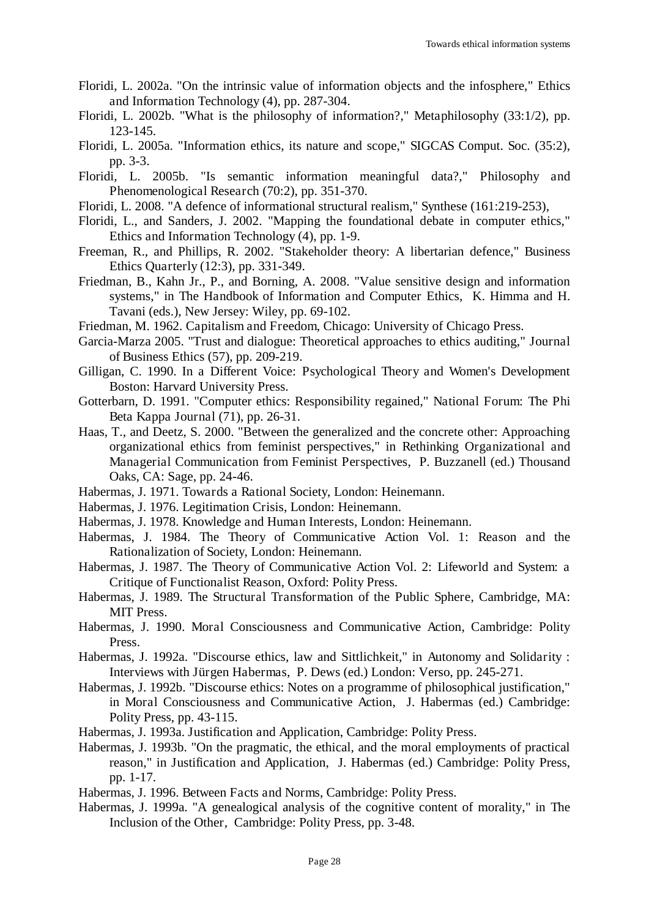- Floridi, L. 2002a. "On the intrinsic value of information objects and the infosphere," Ethics and Information Technology (4), pp. 287-304.
- Floridi, L. 2002b. "What is the philosophy of information?," Metaphilosophy (33:1/2), pp. 123-145.
- Floridi, L. 2005a. "Information ethics, its nature and scope," SIGCAS Comput. Soc. (35:2), pp. 3-3.
- Floridi, L. 2005b. "Is semantic information meaningful data?," Philosophy and Phenomenological Research (70:2), pp. 351-370.
- Floridi, L. 2008. "A defence of informational structural realism," Synthese (161:219-253),
- Floridi, L., and Sanders, J. 2002. "Mapping the foundational debate in computer ethics," Ethics and Information Technology (4), pp. 1-9.
- Freeman, R., and Phillips, R. 2002. "Stakeholder theory: A libertarian defence," Business Ethics Quarterly (12:3), pp. 331-349.
- Friedman, B., Kahn Jr., P., and Borning, A. 2008. "Value sensitive design and information systems," in The Handbook of Information and Computer Ethics, K. Himma and H. Tavani (eds.), New Jersey: Wiley, pp. 69-102.
- Friedman, M. 1962. Capitalism and Freedom, Chicago: University of Chicago Press.
- Garcia-Marza 2005. "Trust and dialogue: Theoretical approaches to ethics auditing," Journal of Business Ethics (57), pp. 209-219.
- Gilligan, C. 1990. In a Different Voice: Psychological Theory and Women's Development Boston: Harvard University Press.
- Gotterbarn, D. 1991. "Computer ethics: Responsibility regained," National Forum: The Phi Beta Kappa Journal (71), pp. 26-31.
- Haas, T., and Deetz, S. 2000. "Between the generalized and the concrete other: Approaching organizational ethics from feminist perspectives," in Rethinking Organizational and Managerial Communication from Feminist Perspectives, P. Buzzanell (ed.) Thousand Oaks, CA: Sage, pp. 24-46.
- Habermas, J. 1971. Towards a Rational Society, London: Heinemann.
- Habermas, J. 1976. Legitimation Crisis, London: Heinemann.
- Habermas, J. 1978. Knowledge and Human Interests, London: Heinemann.
- Habermas, J. 1984. The Theory of Communicative Action Vol. 1: Reason and the Rationalization of Society, London: Heinemann.
- Habermas, J. 1987. The Theory of Communicative Action Vol. 2: Lifeworld and System: a Critique of Functionalist Reason, Oxford: Polity Press.
- Habermas, J. 1989. The Structural Transformation of the Public Sphere, Cambridge, MA: MIT Press.
- Habermas, J. 1990. Moral Consciousness and Communicative Action, Cambridge: Polity Press.
- Habermas, J. 1992a. "Discourse ethics, law and Sittlichkeit," in Autonomy and Solidarity : Interviews with Jürgen Habermas, P. Dews (ed.) London: Verso, pp. 245-271.
- Habermas, J. 1992b. "Discourse ethics: Notes on a programme of philosophical justification," in Moral Consciousness and Communicative Action, J. Habermas (ed.) Cambridge: Polity Press, pp. 43-115.
- Habermas, J. 1993a. Justification and Application, Cambridge: Polity Press.
- Habermas, J. 1993b. "On the pragmatic, the ethical, and the moral employments of practical reason," in Justification and Application, J. Habermas (ed.) Cambridge: Polity Press, pp. 1-17.
- Habermas, J. 1996. Between Facts and Norms, Cambridge: Polity Press.
- Habermas, J. 1999a. "A genealogical analysis of the cognitive content of morality," in The Inclusion of the Other, Cambridge: Polity Press, pp. 3-48.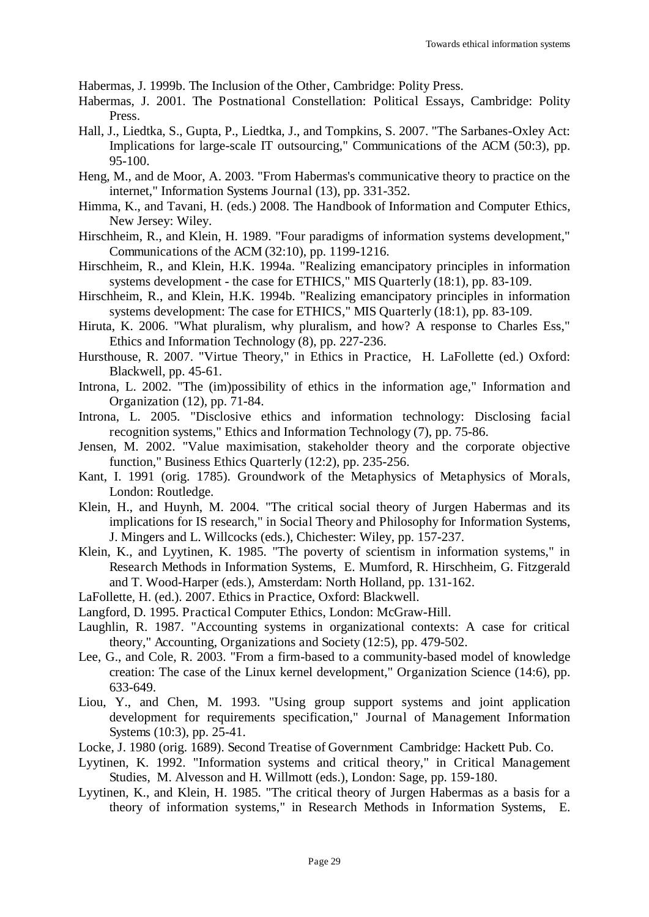Habermas, J. 1999b. The Inclusion of the Other, Cambridge: Polity Press.

- Habermas, J. 2001. The Postnational Constellation: Political Essays, Cambridge: Polity Press.
- Hall, J., Liedtka, S., Gupta, P., Liedtka, J., and Tompkins, S. 2007. "The Sarbanes-Oxley Act: Implications for large-scale IT outsourcing," Communications of the ACM (50:3), pp. 95-100.
- Heng, M., and de Moor, A. 2003. "From Habermas's communicative theory to practice on the internet," Information Systems Journal (13), pp. 331-352.
- Himma, K., and Tavani, H. (eds.) 2008. The Handbook of Information and Computer Ethics, New Jersey: Wiley.
- Hirschheim, R., and Klein, H. 1989. "Four paradigms of information systems development," Communications of the ACM (32:10), pp. 1199-1216.
- Hirschheim, R., and Klein, H.K. 1994a. "Realizing emancipatory principles in information systems development - the case for ETHICS," MIS Quarterly (18:1), pp. 83-109.
- Hirschheim, R., and Klein, H.K. 1994b. "Realizing emancipatory principles in information systems development: The case for ETHICS," MIS Quarterly (18:1), pp. 83-109.
- Hiruta, K. 2006. "What pluralism, why pluralism, and how? A response to Charles Ess," Ethics and Information Technology (8), pp. 227-236.
- Hursthouse, R. 2007. "Virtue Theory," in Ethics in Practice, H. LaFollette (ed.) Oxford: Blackwell, pp. 45-61.
- Introna, L. 2002. "The (im)possibility of ethics in the information age," Information and Organization (12), pp. 71-84.
- Introna, L. 2005. "Disclosive ethics and information technology: Disclosing facial recognition systems," Ethics and Information Technology (7), pp. 75-86.
- Jensen, M. 2002. "Value maximisation, stakeholder theory and the corporate objective function," Business Ethics Quarterly (12:2), pp. 235-256.
- Kant, I. 1991 (orig. 1785). Groundwork of the Metaphysics of Metaphysics of Morals, London: Routledge.
- Klein, H., and Huynh, M. 2004. "The critical social theory of Jurgen Habermas and its implications for IS research," in Social Theory and Philosophy for Information Systems, J. Mingers and L. Willcocks (eds.), Chichester: Wiley, pp. 157-237.
- Klein, K., and Lyytinen, K. 1985. "The poverty of scientism in information systems," in Research Methods in Information Systems, E. Mumford, R. Hirschheim, G. Fitzgerald and T. Wood-Harper (eds.), Amsterdam: North Holland, pp. 131-162.
- LaFollette, H. (ed.). 2007. Ethics in Practice, Oxford: Blackwell.
- Langford, D. 1995. Practical Computer Ethics, London: McGraw-Hill.
- Laughlin, R. 1987. "Accounting systems in organizational contexts: A case for critical theory," Accounting, Organizations and Society (12:5), pp. 479-502.
- Lee, G., and Cole, R. 2003. "From a firm-based to a community-based model of knowledge creation: The case of the Linux kernel development," Organization Science (14:6), pp. 633-649.
- Liou, Y., and Chen, M. 1993. "Using group support systems and joint application development for requirements specification," Journal of Management Information Systems (10:3), pp. 25-41.
- Locke, J. 1980 (orig. 1689). Second Treatise of Government Cambridge: Hackett Pub. Co.
- Lyytinen, K. 1992. "Information systems and critical theory," in Critical Management Studies, M. Alvesson and H. Willmott (eds.), London: Sage, pp. 159-180.
- Lyytinen, K., and Klein, H. 1985. "The critical theory of Jurgen Habermas as a basis for a theory of information systems," in Research Methods in Information Systems, E.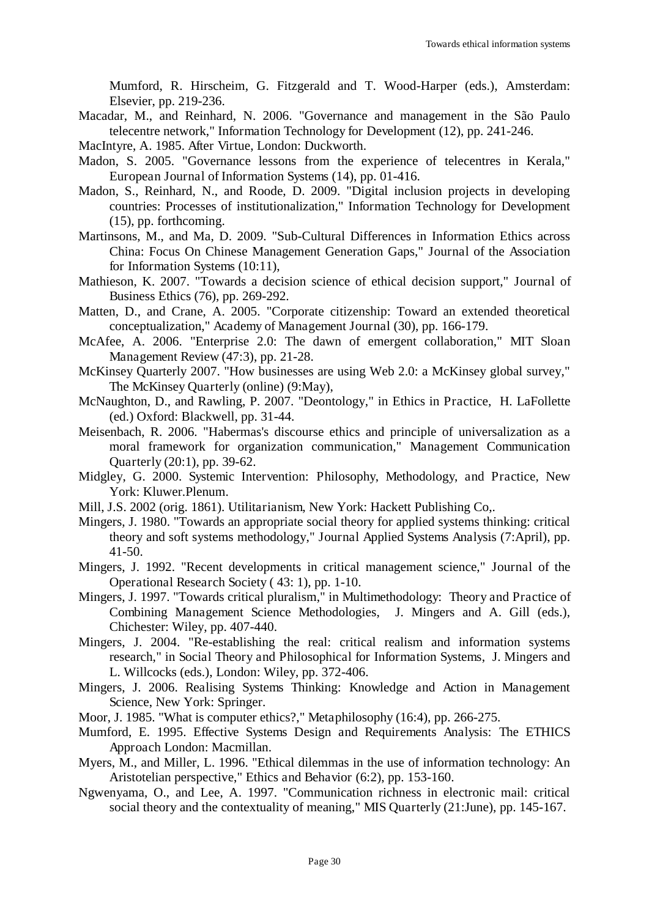Mumford, R. Hirscheim, G. Fitzgerald and T. Wood-Harper (eds.), Amsterdam: Elsevier, pp. 219-236.

Macadar, M., and Reinhard, N. 2006. "Governance and management in the São Paulo telecentre network," Information Technology for Development (12), pp. 241-246.

MacIntyre, A. 1985. After Virtue, London: Duckworth.

- Madon, S. 2005. "Governance lessons from the experience of telecentres in Kerala," European Journal of Information Systems (14), pp. 01-416.
- Madon, S., Reinhard, N., and Roode, D. 2009. "Digital inclusion projects in developing countries: Processes of institutionalization," Information Technology for Development (15), pp. forthcoming.
- Martinsons, M., and Ma, D. 2009. "Sub-Cultural Differences in Information Ethics across China: Focus On Chinese Management Generation Gaps," Journal of the Association for Information Systems (10:11),
- Mathieson, K. 2007. "Towards a decision science of ethical decision support," Journal of Business Ethics (76), pp. 269-292.
- Matten, D., and Crane, A. 2005. "Corporate citizenship: Toward an extended theoretical conceptualization," Academy of Management Journal (30), pp. 166-179.
- McAfee, A. 2006. "Enterprise 2.0: The dawn of emergent collaboration," MIT Sloan Management Review (47:3), pp. 21-28.
- McKinsey Quarterly 2007. "How businesses are using Web 2.0: a McKinsey global survey," The McKinsey Quarterly (online) (9:May),
- McNaughton, D., and Rawling, P. 2007. "Deontology," in Ethics in Practice, H. LaFollette (ed.) Oxford: Blackwell, pp. 31-44.
- Meisenbach, R. 2006. "Habermas's discourse ethics and principle of universalization as a moral framework for organization communication," Management Communication Quarterly (20:1), pp. 39-62.
- Midgley, G. 2000. Systemic Intervention: Philosophy, Methodology, and Practice, New York: Kluwer.Plenum.
- Mill, J.S. 2002 (orig. 1861). Utilitarianism, New York: Hackett Publishing Co,.
- Mingers, J. 1980. "Towards an appropriate social theory for applied systems thinking: critical theory and soft systems methodology," Journal Applied Systems Analysis (7:April), pp. 41-50.
- Mingers, J. 1992. "Recent developments in critical management science," Journal of the Operational Research Society ( 43: 1), pp. 1-10.
- Mingers, J. 1997. "Towards critical pluralism," in Multimethodology: Theory and Practice of Combining Management Science Methodologies, J. Mingers and A. Gill (eds.), Chichester: Wiley, pp. 407-440.
- Mingers, J. 2004. "Re-establishing the real: critical realism and information systems research," in Social Theory and Philosophical for Information Systems, J. Mingers and L. Willcocks (eds.), London: Wiley, pp. 372-406.
- Mingers, J. 2006. Realising Systems Thinking: Knowledge and Action in Management Science, New York: Springer.
- Moor, J. 1985. "What is computer ethics?," Metaphilosophy (16:4), pp. 266-275.
- Mumford, E. 1995. Effective Systems Design and Requirements Analysis: The ETHICS Approach London: Macmillan.
- Myers, M., and Miller, L. 1996. "Ethical dilemmas in the use of information technology: An Aristotelian perspective," Ethics and Behavior (6:2), pp. 153-160.
- Ngwenyama, O., and Lee, A. 1997. "Communication richness in electronic mail: critical social theory and the contextuality of meaning," MIS Quarterly (21:June), pp. 145-167.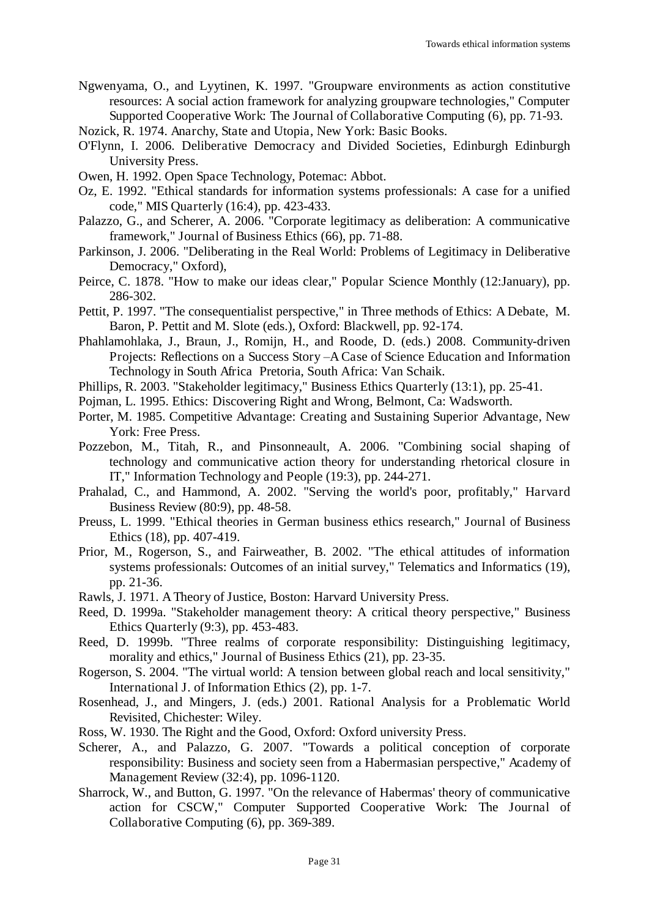Ngwenyama, O., and Lyytinen, K. 1997. "Groupware environments as action constitutive resources: A social action framework for analyzing groupware technologies," Computer Supported Cooperative Work: The Journal of Collaborative Computing (6), pp. 71-93.

Nozick, R. 1974. Anarchy, State and Utopia, New York: Basic Books.

- O'Flynn, I. 2006. Deliberative Democracy and Divided Societies, Edinburgh Edinburgh University Press.
- Owen, H. 1992. Open Space Technology, Potemac: Abbot.
- Oz, E. 1992. "Ethical standards for information systems professionals: A case for a unified code," MIS Quarterly (16:4), pp. 423-433.
- Palazzo, G., and Scherer, A. 2006. "Corporate legitimacy as deliberation: A communicative framework," Journal of Business Ethics (66), pp. 71-88.
- Parkinson, J. 2006. "Deliberating in the Real World: Problems of Legitimacy in Deliberative Democracy," Oxford),
- Peirce, C. 1878. "How to make our ideas clear," Popular Science Monthly (12:January), pp. 286-302.
- Pettit, P. 1997. "The consequentialist perspective," in Three methods of Ethics: A Debate, M. Baron, P. Pettit and M. Slote (eds.), Oxford: Blackwell, pp. 92-174.
- Phahlamohlaka, J., Braun, J., Romijn, H., and Roode, D. (eds.) 2008. Community-driven Projects: Reflections on a Success Story *–*A Case of Science Education and Information Technology in South Africa Pretoria, South Africa: Van Schaik.
- Phillips, R. 2003. "Stakeholder legitimacy," Business Ethics Quarterly (13:1), pp. 25-41.
- Pojman, L. 1995. Ethics: Discovering Right and Wrong, Belmont, Ca: Wadsworth.
- Porter, M. 1985. Competitive Advantage: Creating and Sustaining Superior Advantage, New York: Free Press.
- Pozzebon, M., Titah, R., and Pinsonneault, A. 2006. "Combining social shaping of technology and communicative action theory for understanding rhetorical closure in IT," Information Technology and People (19:3), pp. 244-271.
- Prahalad, C., and Hammond, A. 2002. "Serving the world's poor, profitably," Harvard Business Review (80:9), pp. 48-58.
- Preuss, L. 1999. "Ethical theories in German business ethics research," Journal of Business Ethics (18), pp. 407-419.
- Prior, M., Rogerson, S., and Fairweather, B. 2002. "The ethical attitudes of information systems professionals: Outcomes of an initial survey," Telematics and Informatics (19), pp. 21-36.
- Rawls, J. 1971. A Theory of Justice, Boston: Harvard University Press.
- Reed, D. 1999a. "Stakeholder management theory: A critical theory perspective," Business Ethics Quarterly (9:3), pp. 453-483.
- Reed, D. 1999b. "Three realms of corporate responsibility: Distinguishing legitimacy, morality and ethics," Journal of Business Ethics (21), pp. 23-35.
- Rogerson, S. 2004. "The virtual world: A tension between global reach and local sensitivity," International J. of Information Ethics (2), pp. 1-7.
- Rosenhead, J., and Mingers, J. (eds.) 2001. Rational Analysis for a Problematic World Revisited, Chichester: Wiley.
- Ross, W. 1930. The Right and the Good, Oxford: Oxford university Press.
- Scherer, A., and Palazzo, G. 2007. "Towards a political conception of corporate responsibility: Business and society seen from a Habermasian perspective," Academy of Management Review (32:4), pp. 1096-1120.
- Sharrock, W., and Button, G. 1997. "On the relevance of Habermas' theory of communicative action for CSCW," Computer Supported Cooperative Work: The Journal of Collaborative Computing (6), pp. 369-389.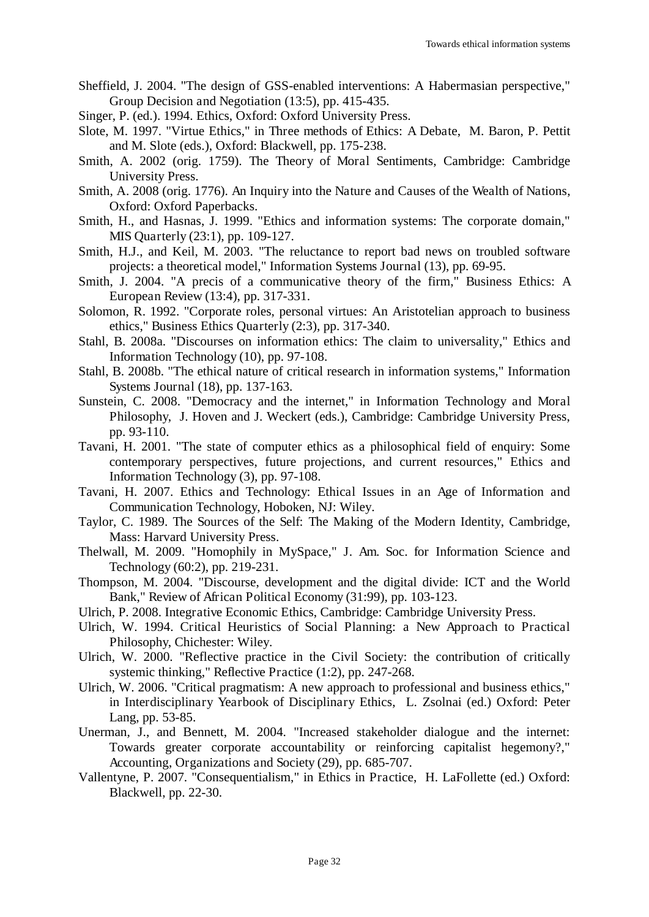- Sheffield, J. 2004. "The design of GSS-enabled interventions: A Habermasian perspective," Group Decision and Negotiation (13:5), pp. 415-435.
- Singer, P. (ed.). 1994. Ethics, Oxford: Oxford University Press.
- Slote, M. 1997. "Virtue Ethics," in Three methods of Ethics: A Debate, M. Baron, P. Pettit and M. Slote (eds.), Oxford: Blackwell, pp. 175-238.
- Smith, A. 2002 (orig. 1759). The Theory of Moral Sentiments, Cambridge: Cambridge University Press.
- Smith, A. 2008 (orig. 1776). An Inquiry into the Nature and Causes of the Wealth of Nations, Oxford: Oxford Paperbacks.
- Smith, H., and Hasnas, J. 1999. "Ethics and information systems: The corporate domain," MIS Quarterly (23:1), pp. 109-127.
- Smith, H.J., and Keil, M. 2003. "The reluctance to report bad news on troubled software projects: a theoretical model," Information Systems Journal (13), pp. 69-95.
- Smith, J. 2004. "A precis of a communicative theory of the firm," Business Ethics: A European Review (13:4), pp. 317-331.
- Solomon, R. 1992. "Corporate roles, personal virtues: An Aristotelian approach to business ethics," Business Ethics Quarterly (2:3), pp. 317-340.
- Stahl, B. 2008a. "Discourses on information ethics: The claim to universality," Ethics and Information Technology (10), pp. 97-108.
- Stahl, B. 2008b. "The ethical nature of critical research in information systems," Information Systems Journal (18), pp. 137-163.
- Sunstein, C. 2008. "Democracy and the internet," in Information Technology and Moral Philosophy, J. Hoven and J. Weckert (eds.), Cambridge: Cambridge University Press, pp. 93-110.
- Tavani, H. 2001. "The state of computer ethics as a philosophical field of enquiry: Some contemporary perspectives, future projections, and current resources," Ethics and Information Technology (3), pp. 97-108.
- Tavani, H. 2007. Ethics and Technology: Ethical Issues in an Age of Information and Communication Technology, Hoboken, NJ: Wiley.
- Taylor, C. 1989. The Sources of the Self: The Making of the Modern Identity, Cambridge, Mass: Harvard University Press.
- Thelwall, M. 2009. "Homophily in MySpace," J. Am. Soc. for Information Science and Technology (60:2), pp. 219-231.
- Thompson, M. 2004. "Discourse, development and the digital divide: ICT and the World Bank," Review of African Political Economy (31:99), pp. 103-123.
- Ulrich, P. 2008. Integrative Economic Ethics, Cambridge: Cambridge University Press.
- Ulrich, W. 1994. Critical Heuristics of Social Planning: a New Approach to Practical Philosophy, Chichester: Wiley.
- Ulrich, W. 2000. "Reflective practice in the Civil Society: the contribution of critically systemic thinking," Reflective Practice (1:2), pp. 247-268.
- Ulrich, W. 2006. "Critical pragmatism: A new approach to professional and business ethics," in Interdisciplinary Yearbook of Disciplinary Ethics, L. Zsolnai (ed.) Oxford: Peter Lang, pp. 53-85.
- Unerman, J., and Bennett, M. 2004. "Increased stakeholder dialogue and the internet: Towards greater corporate accountability or reinforcing capitalist hegemony?," Accounting, Organizations and Society (29), pp. 685-707.
- Vallentyne, P. 2007. "Consequentialism," in Ethics in Practice, H. LaFollette (ed.) Oxford: Blackwell, pp. 22-30.